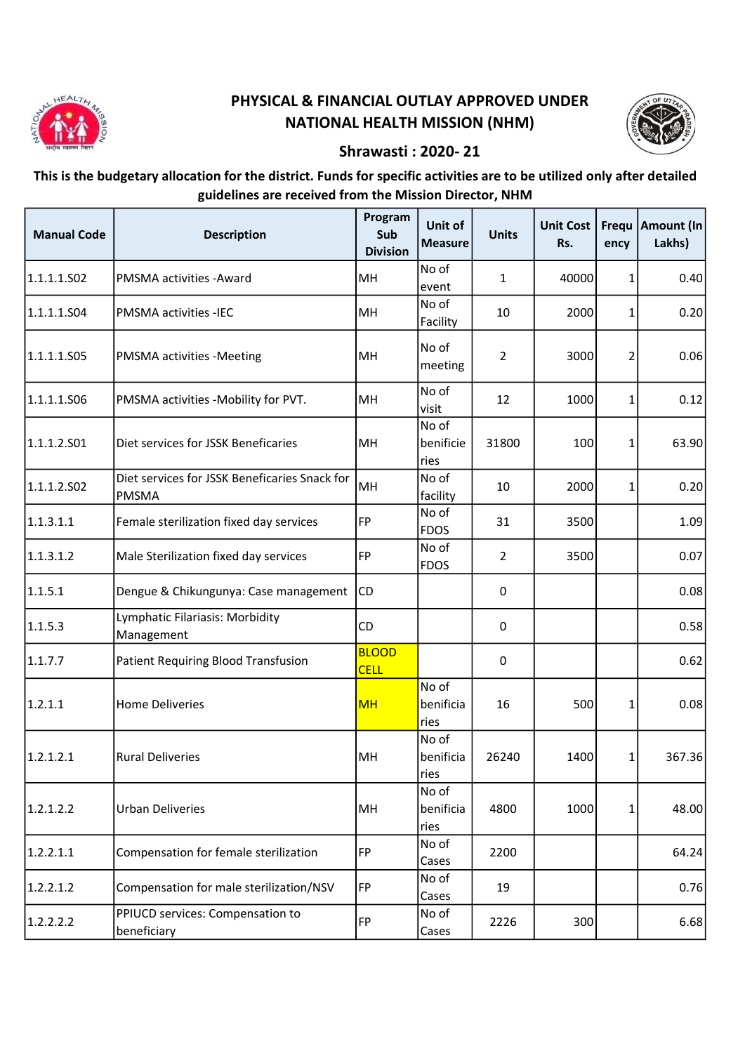

## PHYSICAL & FINANCIAL OUTLAY APPROVED UNDER NATIONAL HEALTH MISSION (NHM)



## Shrawasti : 2020- 21

This is the budgetary allocation for the district. Funds for specific activities are to be utilized only after detailed guidelines are received from the Mission Director, NHM

| <b>Manual Code</b> | <b>Description</b>                                            | Program<br>Sub<br><b>Division</b> | Unit of<br><b>Measure</b>  | <b>Units</b>   | Unit Cost<br>Rs. | ency | Frequ   Amount (In<br>Lakhs) |
|--------------------|---------------------------------------------------------------|-----------------------------------|----------------------------|----------------|------------------|------|------------------------------|
| 1.1.1.1.S02        | <b>PMSMA activities - Award</b>                               | MH                                | No of<br>event             | 1              | 40000            | 1    | 0.40                         |
| 1.1.1.1.S04        | <b>PMSMA activities -IEC</b>                                  | MH                                | No of<br>Facility          | 10             | 2000             | 1    | 0.20                         |
| 1.1.1.1.S05        | <b>PMSMA</b> activities -Meeting                              | <b>MH</b>                         | No of<br>meeting           | $\overline{2}$ | 3000             | 2    | 0.06                         |
| 1.1.1.1.506        | PMSMA activities -Mobility for PVT.                           | MH                                | No of<br>visit             | 12             | 1000             | 1    | 0.12                         |
| 1.1.1.2.501        | Diet services for JSSK Beneficaries                           | MH                                | No of<br>benificie<br>ries | 31800          | 100              | 1    | 63.90                        |
| 1.1.1.2.502        | Diet services for JSSK Beneficaries Snack for<br><b>PMSMA</b> | MH                                | No of<br>facility          | 10             | 2000             | 1    | 0.20                         |
| 1.1.3.1.1          | Female sterilization fixed day services                       | FP                                | No of<br><b>FDOS</b>       | 31             | 3500             |      | 1.09                         |
| 1.1.3.1.2          | Male Sterilization fixed day services                         | FP                                | No of<br><b>FDOS</b>       | 2              | 3500             |      | 0.07                         |
| 1.1.5.1            | Dengue & Chikungunya: Case management                         | <b>CD</b>                         |                            | 0              |                  |      | 0.08                         |
| 1.1.5.3            | Lymphatic Filariasis: Morbidity<br>Management                 | <b>CD</b>                         |                            | 0              |                  |      | 0.58                         |
| 1.1.7.7            | <b>Patient Requiring Blood Transfusion</b>                    | <b>BLOOD</b><br><b>CELL</b>       |                            | 0              |                  |      | 0.62                         |
| 1.2.1.1            | <b>Home Deliveries</b>                                        | <b>MH</b>                         | No of<br>benificia<br>ries | 16             | 500              | 1    | 0.08                         |
| 1.2.1.2.1          | <b>Rural Deliveries</b>                                       | MH                                | No of<br>benificia<br>ries | 26240          | 1400             | 1    | 367.36                       |
| 1.2.1.2.2          | <b>Urban Deliveries</b>                                       | MH                                | No of<br>benificia<br>ries | 4800           | 1000             | 1    | 48.00                        |
| 1.2.2.1.1          | Compensation for female sterilization                         | FP                                | No of<br>Cases             | 2200           |                  |      | 64.24                        |
| 1.2.2.1.2          | Compensation for male sterilization/NSV                       | <b>FP</b>                         | No of<br>Cases             | 19             |                  |      | 0.76                         |
| 1.2.2.2.2          | PPIUCD services: Compensation to<br>beneficiary               | FP                                | No of<br>Cases             | 2226           | 300              |      | 6.68                         |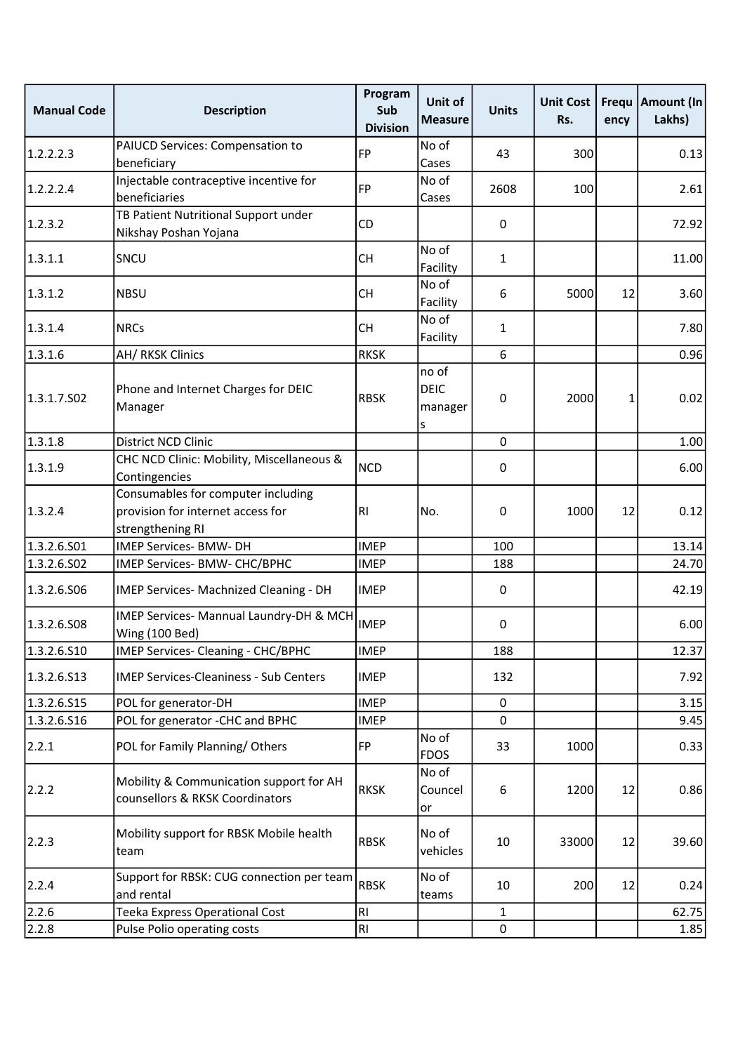| <b>Manual Code</b> | <b>Description</b>                                                                          | Program<br>Sub<br><b>Division</b> | Unit of<br><b>Measure</b>            | <b>Units</b> | <b>Unit Cost</b><br>Rs. | ency | Frequ   Amount (In<br>Lakhs) |
|--------------------|---------------------------------------------------------------------------------------------|-----------------------------------|--------------------------------------|--------------|-------------------------|------|------------------------------|
| 1.2.2.2.3          | PAIUCD Services: Compensation to<br>beneficiary                                             | <b>FP</b>                         | No of<br>Cases                       | 43           | 300                     |      | 0.13                         |
| 1.2.2.2.4          | Injectable contraceptive incentive for<br>beneficiaries                                     | <b>FP</b>                         | No of<br>Cases                       | 2608         | 100                     |      | 2.61                         |
| 1.2.3.2            | TB Patient Nutritional Support under<br>Nikshay Poshan Yojana                               | CD                                |                                      | 0            |                         |      | 72.92                        |
| 1.3.1.1            | SNCU                                                                                        | <b>CH</b>                         | No of<br>Facility                    | $\mathbf{1}$ |                         |      | 11.00                        |
| 1.3.1.2            | <b>NBSU</b>                                                                                 | <b>CH</b>                         | No of<br>Facility                    | 6            | 5000                    | 12   | 3.60                         |
| 1.3.1.4            | <b>NRCs</b>                                                                                 | <b>CH</b>                         | No of<br>Facility                    | 1            |                         |      | 7.80                         |
| 1.3.1.6            | AH/RKSK Clinics                                                                             | <b>RKSK</b>                       |                                      | 6            |                         |      | 0.96                         |
| 1.3.1.7.502        | Phone and Internet Charges for DEIC<br>Manager                                              | <b>RBSK</b>                       | no of<br><b>DEIC</b><br>manager<br>S | 0            | 2000                    | 1    | 0.02                         |
| 1.3.1.8            | District NCD Clinic                                                                         |                                   |                                      | $\mathbf{0}$ |                         |      | 1.00                         |
| 1.3.1.9            | CHC NCD Clinic: Mobility, Miscellaneous &<br>Contingencies                                  | <b>NCD</b>                        |                                      | 0            |                         |      | 6.00                         |
| 1.3.2.4            | Consumables for computer including<br>provision for internet access for<br>strengthening RI | R <sub>l</sub>                    | No.                                  | 0            | 1000                    | 12   | 0.12                         |
| 1.3.2.6.S01        | IMEP Services- BMW- DH                                                                      | <b>IMEP</b>                       |                                      | 100          |                         |      | 13.14                        |
| 1.3.2.6.502        | IMEP Services- BMW- CHC/BPHC                                                                | <b>IMEP</b>                       |                                      | 188          |                         |      | 24.70                        |
| 1.3.2.6.506        | IMEP Services- Machnized Cleaning - DH                                                      | <b>IMEP</b>                       |                                      | 0            |                         |      | 42.19                        |
| 1.3.2.6.508        | IMEP Services- Mannual Laundry-DH & MCH<br>Wing (100 Bed)                                   | <b>IMEP</b>                       |                                      | 0            |                         |      | 6.00                         |
| 1.3.2.6.510        | IMEP Services- Cleaning - CHC/BPHC                                                          | <b>IMEP</b>                       |                                      | 188          |                         |      | 12.37                        |
| 1.3.2.6.513        | <b>IMEP Services-Cleaniness - Sub Centers</b>                                               | <b>IMEP</b>                       |                                      | 132          |                         |      | 7.92                         |
| 1.3.2.6.S15        | POL for generator-DH                                                                        | <b>IMEP</b>                       |                                      | 0            |                         |      | 3.15                         |
| 1.3.2.6.516        | POL for generator -CHC and BPHC                                                             | <b>IMEP</b>                       |                                      | $\mathbf 0$  |                         |      | 9.45                         |
| 2.2.1              | POL for Family Planning/Others                                                              | FP                                | No of<br><b>FDOS</b>                 | 33           | 1000                    |      | 0.33                         |
| 2.2.2              | Mobility & Communication support for AH<br>counsellors & RKSK Coordinators                  | <b>RKSK</b>                       | No of<br>Councel<br>or               | 6            | 1200                    | 12   | 0.86                         |
| 2.2.3              | Mobility support for RBSK Mobile health<br>team                                             | <b>RBSK</b>                       | No of<br>vehicles                    | 10           | 33000                   | 12   | 39.60                        |
| 2.2.4              | Support for RBSK: CUG connection per team<br>and rental                                     | <b>RBSK</b>                       | No of<br>teams                       | 10           | 200                     | 12   | 0.24                         |
| 2.2.6              | Teeka Express Operational Cost                                                              | R <sub>1</sub>                    |                                      | 1            |                         |      | 62.75                        |
| 2.2.8              | Pulse Polio operating costs                                                                 | RI                                |                                      | $\mathbf 0$  |                         |      | 1.85                         |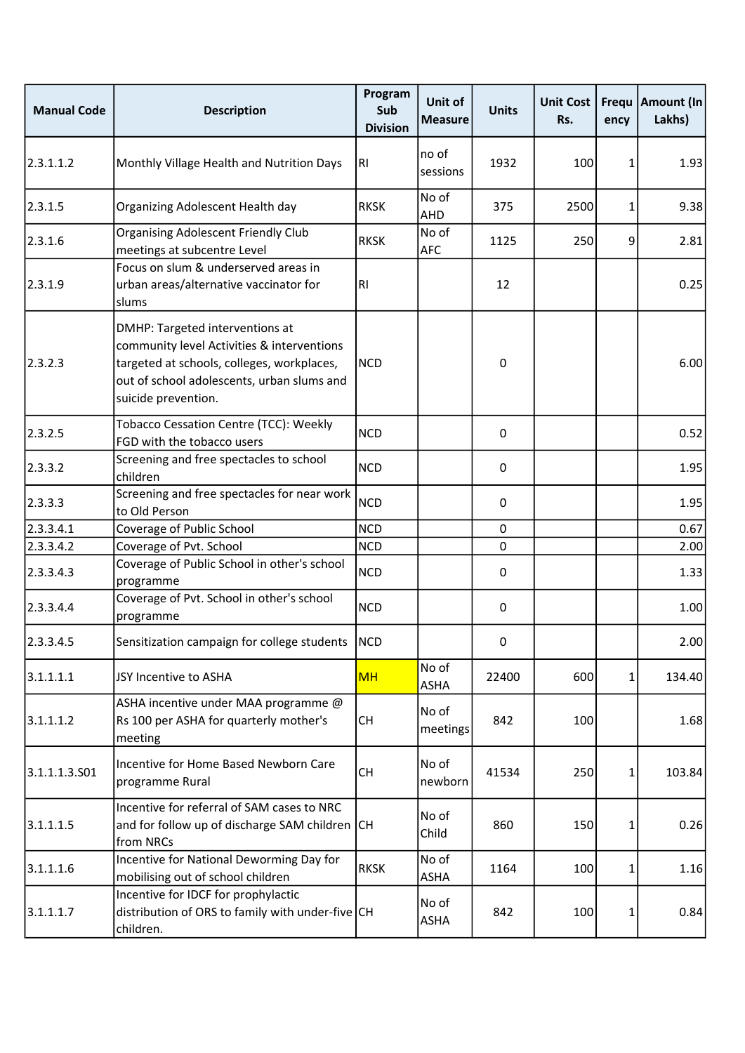| <b>Manual Code</b> | <b>Description</b>                                                                                                                                                                               | Program<br>Sub<br><b>Division</b> | Unit of<br><b>Measure</b> | <b>Units</b> | <b>Unit Cost</b><br>Rs. | ency | Frequ   Amount (In<br>Lakhs) |
|--------------------|--------------------------------------------------------------------------------------------------------------------------------------------------------------------------------------------------|-----------------------------------|---------------------------|--------------|-------------------------|------|------------------------------|
| 2.3.1.1.2          | Monthly Village Health and Nutrition Days                                                                                                                                                        | <b>RI</b>                         | no of<br>sessions         | 1932         | 100                     | 1    | 1.93                         |
| 2.3.1.5            | Organizing Adolescent Health day                                                                                                                                                                 | <b>RKSK</b>                       | No of<br>AHD              | 375          | 2500                    | 1    | 9.38                         |
| 2.3.1.6            | <b>Organising Adolescent Friendly Club</b><br>meetings at subcentre Level                                                                                                                        | <b>RKSK</b>                       | No of<br><b>AFC</b>       | 1125         | 250                     | 9    | 2.81                         |
| 2.3.1.9            | Focus on slum & underserved areas in<br>urban areas/alternative vaccinator for<br>slums                                                                                                          | RI                                |                           | 12           |                         |      | 0.25                         |
| 2.3.2.3            | DMHP: Targeted interventions at<br>community level Activities & interventions<br>targeted at schools, colleges, workplaces,<br>out of school adolescents, urban slums and<br>suicide prevention. | <b>NCD</b>                        |                           | $\pmb{0}$    |                         |      | 6.00                         |
| 2.3.2.5            | Tobacco Cessation Centre (TCC): Weekly<br>FGD with the tobacco users                                                                                                                             | <b>NCD</b>                        |                           | 0            |                         |      | 0.52                         |
| 2.3.3.2            | Screening and free spectacles to school<br>children                                                                                                                                              | <b>NCD</b>                        |                           | 0            |                         |      | 1.95                         |
| 2.3.3.3            | Screening and free spectacles for near work<br>to Old Person                                                                                                                                     | <b>NCD</b>                        |                           | $\mathbf 0$  |                         |      | 1.95                         |
| 2.3.3.4.1          | Coverage of Public School                                                                                                                                                                        | <b>NCD</b>                        |                           | $\mathbf 0$  |                         |      | 0.67                         |
| 2.3.3.4.2          | Coverage of Pvt. School                                                                                                                                                                          | <b>NCD</b>                        |                           | 0            |                         |      | 2.00                         |
| 2.3.3.4.3          | Coverage of Public School in other's school<br>programme                                                                                                                                         | <b>NCD</b>                        |                           | 0            |                         |      | 1.33                         |
| 2.3.3.4.4          | Coverage of Pvt. School in other's school<br>programme                                                                                                                                           | <b>NCD</b>                        |                           | $\mathsf 0$  |                         |      | 1.00                         |
| 2.3.3.4.5          | Sensitization campaign for college students   NCD                                                                                                                                                |                                   |                           | <sup>0</sup> |                         |      | 2.00                         |
| 3.1.1.1.1          | JSY Incentive to ASHA                                                                                                                                                                            | <b>MH</b>                         | No of<br>ASHA             | 22400        | 600                     | 1    | 134.40                       |
| 3.1.1.1.2          | ASHA incentive under MAA programme @<br>Rs 100 per ASHA for quarterly mother's<br>meeting                                                                                                        | <b>CH</b>                         | No of<br>meetings         | 842          | 100                     |      | 1.68                         |
| 3.1.1.1.3.501      | Incentive for Home Based Newborn Care<br>programme Rural                                                                                                                                         | <b>CH</b>                         | No of<br>newborn          | 41534        | 250                     | 1    | 103.84                       |
| 3.1.1.1.5          | Incentive for referral of SAM cases to NRC<br>and for follow up of discharge SAM children CH<br>from NRCs                                                                                        |                                   | No of<br>Child            | 860          | 150                     | 1    | 0.26                         |
| 3.1.1.1.6          | Incentive for National Deworming Day for<br>mobilising out of school children                                                                                                                    | <b>RKSK</b>                       | No of<br>ASHA             | 1164         | 100                     | 1    | 1.16                         |
| 3.1.1.1.7          | Incentive for IDCF for prophylactic<br>distribution of ORS to family with under-five CH<br>children.                                                                                             |                                   | No of<br><b>ASHA</b>      | 842          | 100                     | 1    | 0.84                         |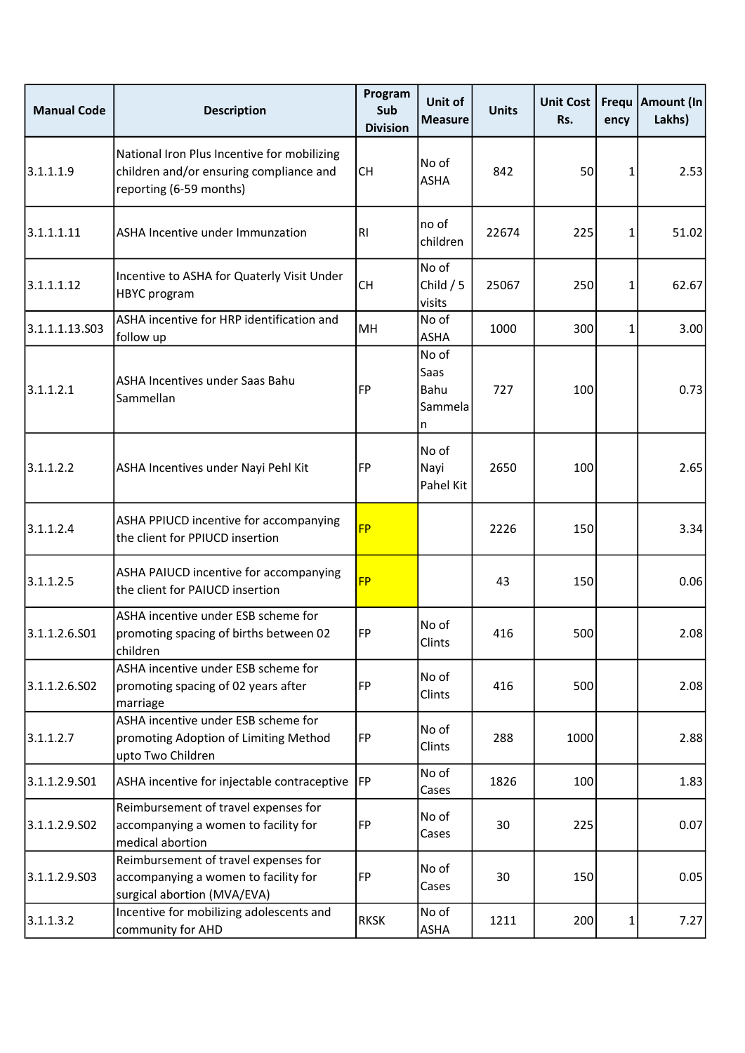| <b>Manual Code</b> | <b>Description</b>                                                                                                | Program<br>Sub<br><b>Division</b> | Unit of<br><b>Measure</b>             | <b>Units</b> | <b>Unit Cost</b><br>Rs. | Frequ<br>ency | <b>Amount (In</b><br>Lakhs) |
|--------------------|-------------------------------------------------------------------------------------------------------------------|-----------------------------------|---------------------------------------|--------------|-------------------------|---------------|-----------------------------|
| 3.1.1.1.9          | National Iron Plus Incentive for mobilizing<br>children and/or ensuring compliance and<br>reporting (6-59 months) | <b>CH</b>                         | No of<br><b>ASHA</b>                  | 842          | 50                      | 1             | 2.53                        |
| 3.1.1.1.11         | ASHA Incentive under Immunzation                                                                                  | R <sub>l</sub>                    | no of<br>children                     | 22674        | 225                     | 1             | 51.02                       |
| 3.1.1.1.12         | Incentive to ASHA for Quaterly Visit Under<br>HBYC program                                                        | <b>CH</b>                         | No of<br>Child $/5$<br>visits         | 25067        | 250                     | 1             | 62.67                       |
| 3.1.1.1.13.503     | ASHA incentive for HRP identification and<br>follow up                                                            | MH                                | No of<br><b>ASHA</b>                  | 1000         | 300                     | 1             | 3.00                        |
| 3.1.1.2.1          | ASHA Incentives under Saas Bahu<br>Sammellan                                                                      | <b>FP</b>                         | No of<br>Saas<br>Bahu<br>Sammela<br>n | 727          | 100                     |               | 0.73                        |
| 3.1.1.2.2          | ASHA Incentives under Nayi Pehl Kit                                                                               | FP                                | No of<br>Nayi<br>Pahel Kit            | 2650         | 100                     |               | 2.65                        |
| 3.1.1.2.4          | ASHA PPIUCD incentive for accompanying<br>the client for PPIUCD insertion                                         | <b>FP</b>                         |                                       | 2226         | 150                     |               | 3.34                        |
| 3.1.1.2.5          | ASHA PAIUCD incentive for accompanying<br>the client for PAIUCD insertion                                         | <b>FP</b>                         |                                       | 43           | 150                     |               | 0.06                        |
| 3.1.1.2.6.S01      | ASHA incentive under ESB scheme for<br>promoting spacing of births between 02<br>children                         | FP                                | No of<br>Clints                       | 416          | 500                     |               | 2.08                        |
| 3.1.1.2.6.S02      | ASHA incentive under ESB scheme for<br>promoting spacing of 02 years after<br>marriage                            | FP                                | No of<br>Clints                       | 416          | 500                     |               | 2.08                        |
| 3.1.1.2.7          | ASHA incentive under ESB scheme for<br>promoting Adoption of Limiting Method<br>upto Two Children                 | FP                                | No of<br>Clints                       | 288          | 1000                    |               | 2.88                        |
| 3.1.1.2.9.501      | ASHA incentive for injectable contraceptive                                                                       | FP                                | No of<br>Cases                        | 1826         | 100                     |               | 1.83                        |
| 3.1.1.2.9.502      | Reimbursement of travel expenses for<br>accompanying a women to facility for<br>medical abortion                  | <b>FP</b>                         | No of<br>Cases                        | 30           | 225                     |               | 0.07                        |
| 3.1.1.2.9.503      | Reimbursement of travel expenses for<br>accompanying a women to facility for<br>surgical abortion (MVA/EVA)       | FP                                | No of<br>Cases                        | 30           | 150                     |               | 0.05                        |
| 3.1.1.3.2          | Incentive for mobilizing adolescents and<br>community for AHD                                                     | <b>RKSK</b>                       | No of<br>ASHA                         | 1211         | 200                     | 1             | 7.27                        |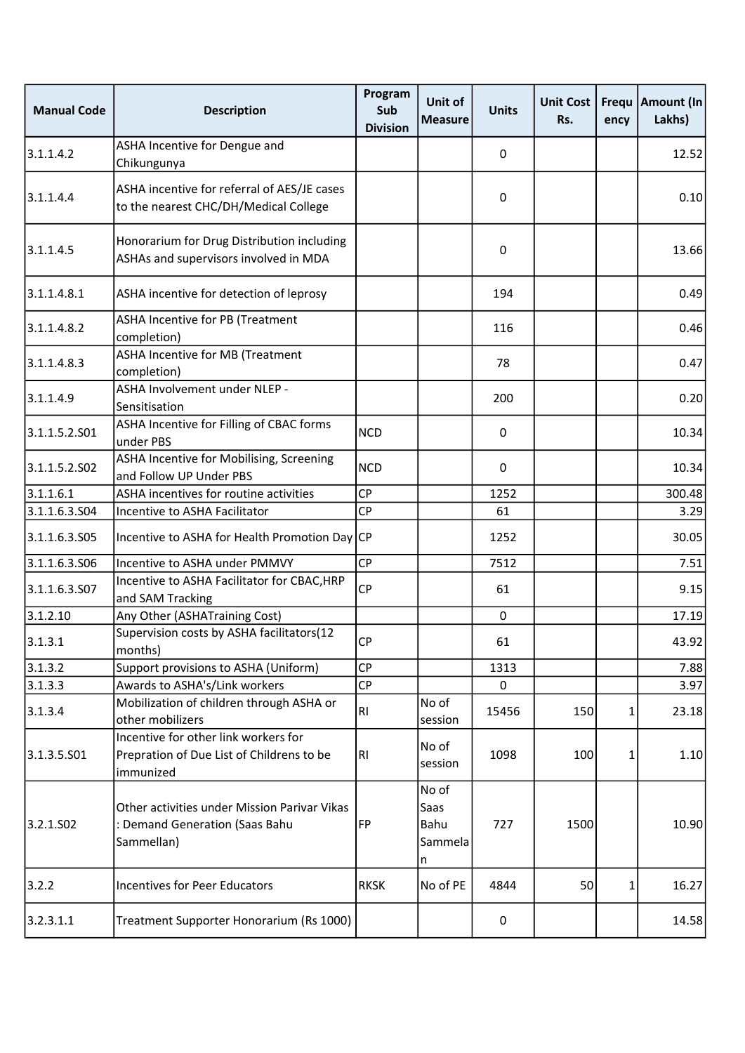| <b>Manual Code</b> | <b>Description</b>                                                                             | Program<br>Sub<br><b>Division</b> | Unit of<br><b>Measure</b>             | <b>Units</b>     | <b>Unit Cost</b><br>Rs. | ency | Frequ   Amount (In<br>Lakhs) |
|--------------------|------------------------------------------------------------------------------------------------|-----------------------------------|---------------------------------------|------------------|-------------------------|------|------------------------------|
| 3.1.1.4.2          | ASHA Incentive for Dengue and<br>Chikungunya                                                   |                                   |                                       | $\pmb{0}$        |                         |      | 12.52                        |
| 3.1.1.4.4          | ASHA incentive for referral of AES/JE cases<br>to the nearest CHC/DH/Medical College           |                                   |                                       | $\mathbf 0$      |                         |      | 0.10                         |
| 3.1.1.4.5          | Honorarium for Drug Distribution including<br>ASHAs and supervisors involved in MDA            |                                   |                                       | 0                |                         |      | 13.66                        |
| 3.1.1.4.8.1        | ASHA incentive for detection of leprosy                                                        |                                   |                                       | 194              |                         |      | 0.49                         |
| 3.1.1.4.8.2        | ASHA Incentive for PB (Treatment<br>completion)                                                |                                   |                                       | 116              |                         |      | 0.46                         |
| 3.1.1.4.8.3        | ASHA Incentive for MB (Treatment<br>completion)                                                |                                   |                                       | 78               |                         |      | 0.47                         |
| 3.1.1.4.9          | ASHA Involvement under NLEP -<br>Sensitisation                                                 |                                   |                                       | 200              |                         |      | 0.20                         |
| 3.1.1.5.2.501      | ASHA Incentive for Filling of CBAC forms<br>under PBS                                          | <b>NCD</b>                        |                                       | $\mathbf 0$      |                         |      | 10.34                        |
| 3.1.1.5.2.502      | ASHA Incentive for Mobilising, Screening<br>and Follow UP Under PBS                            | <b>NCD</b>                        |                                       | 0                |                         |      | 10.34                        |
| 3.1.1.6.1          | ASHA incentives for routine activities                                                         | <b>CP</b>                         |                                       | 1252             |                         |      | 300.48                       |
| 3.1.1.6.3.504      | Incentive to ASHA Facilitator                                                                  | <b>CP</b>                         |                                       | 61               |                         |      | 3.29                         |
| 3.1.1.6.3.505      | Incentive to ASHA for Health Promotion Day CP                                                  |                                   |                                       | 1252             |                         |      | 30.05                        |
| 3.1.1.6.3.506      | Incentive to ASHA under PMMVY                                                                  | <b>CP</b>                         |                                       | 7512             |                         |      | 7.51                         |
| 3.1.1.6.3.507      | Incentive to ASHA Facilitator for CBAC, HRP<br>and SAM Tracking                                | <b>CP</b>                         |                                       | 61               |                         |      | 9.15                         |
| 3.1.2.10           | Any Other (ASHATraining Cost)                                                                  |                                   |                                       | 0                |                         |      | 17.19                        |
| 3.1.3.1            | Supervision costs by ASHA facilitators(12<br>months)                                           | <b>CP</b>                         |                                       | 61               |                         |      | 43.92                        |
| 3.1.3.2            | Support provisions to ASHA (Uniform)                                                           | <b>CP</b>                         |                                       | 1313             |                         |      | 7.88                         |
| 3.1.3.3            | Awards to ASHA's/Link workers                                                                  | <b>CP</b>                         |                                       | 0                |                         |      | 3.97                         |
| 3.1.3.4            | Mobilization of children through ASHA or<br>other mobilizers                                   | <b>RI</b>                         | No of<br>session                      | 15456            | 150                     | 1    | 23.18                        |
| 3.1.3.5.501        | Incentive for other link workers for<br>Prepration of Due List of Childrens to be<br>immunized | R <sub>l</sub>                    | No of<br>session                      | 1098             | 100                     | 1    | 1.10                         |
| 3.2.1.502          | Other activities under Mission Parivar Vikas<br>: Demand Generation (Saas Bahu<br>Sammellan)   | FP                                | No of<br>Saas<br>Bahu<br>Sammela<br>n | 727              | 1500                    |      | 10.90                        |
| 3.2.2              | <b>Incentives for Peer Educators</b>                                                           | <b>RKSK</b>                       | No of PE                              | 4844             | 50                      | 1    | 16.27                        |
| 3.2.3.1.1          | Treatment Supporter Honorarium (Rs 1000)                                                       |                                   |                                       | $\boldsymbol{0}$ |                         |      | 14.58                        |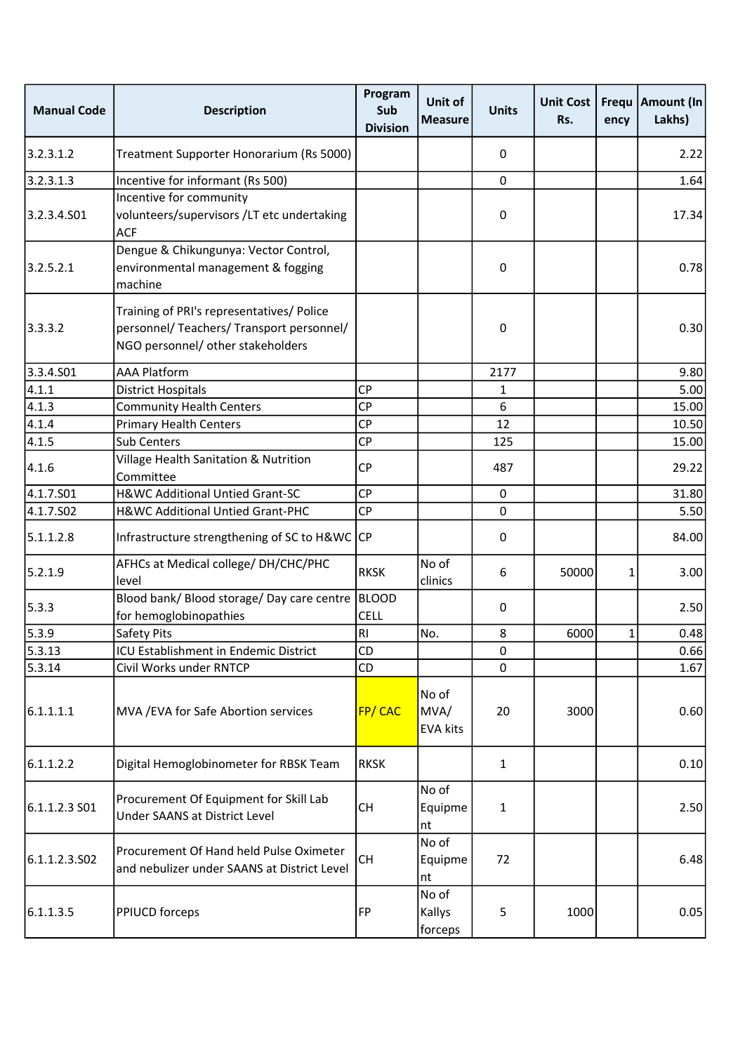| <b>Manual Code</b>    | <b>Description</b>                                                                                                          | Program<br>Sub<br><b>Division</b> | Unit of<br><b>Measure</b>        | <b>Units</b> | <b>Unit Cost</b><br>Rs. | ency | Frequ   Amount (In<br>Lakhs) |
|-----------------------|-----------------------------------------------------------------------------------------------------------------------------|-----------------------------------|----------------------------------|--------------|-------------------------|------|------------------------------|
| 3.2.3.1.2             | Treatment Supporter Honorarium (Rs 5000)                                                                                    |                                   |                                  | 0            |                         |      | 2.22                         |
| 3.2.3.1.3             | Incentive for informant (Rs 500)                                                                                            |                                   |                                  | $\mathbf{0}$ |                         |      | 1.64                         |
| 3.2.3.4.501           | Incentive for community<br>volunteers/supervisors /LT etc undertaking<br><b>ACF</b>                                         |                                   |                                  | $\pmb{0}$    |                         |      | 17.34                        |
| 3.2.5.2.1             | Dengue & Chikungunya: Vector Control,<br>environmental management & fogging<br>machine                                      |                                   |                                  | $\pmb{0}$    |                         |      | 0.78                         |
| 3.3.3.2               | Training of PRI's representatives/ Police<br>personnel/ Teachers/ Transport personnel/<br>NGO personnel/ other stakeholders |                                   |                                  | $\pmb{0}$    |                         |      | 0.30                         |
| 3.3.4.501             | <b>AAA Platform</b>                                                                                                         |                                   |                                  | 2177         |                         |      | 9.80                         |
| 4.1.1                 | <b>District Hospitals</b>                                                                                                   | <b>CP</b>                         |                                  | 1            |                         |      | 5.00                         |
| 4.1.3                 | <b>Community Health Centers</b>                                                                                             | <b>CP</b>                         |                                  | 6            |                         |      | 15.00                        |
| 4.1.4                 | <b>Primary Health Centers</b>                                                                                               | <b>CP</b>                         |                                  | 12           |                         |      | 10.50                        |
| 4.1.5                 | <b>Sub Centers</b>                                                                                                          | <b>CP</b>                         |                                  | 125          |                         |      | 15.00                        |
| 4.1.6                 | Village Health Sanitation & Nutrition<br>Committee                                                                          | <b>CP</b>                         |                                  | 487          |                         |      | 29.22                        |
| 4.1.7.S01             | H&WC Additional Untied Grant-SC                                                                                             | <b>CP</b>                         |                                  | 0            |                         |      | 31.80                        |
| 4.1.7.SO <sub>2</sub> | H&WC Additional Untied Grant-PHC                                                                                            | <b>CP</b>                         |                                  | $\mathbf 0$  |                         |      | 5.50                         |
| 5.1.1.2.8             | Infrastructure strengthening of SC to H&WC CP                                                                               |                                   |                                  | 0            |                         |      | 84.00                        |
| 5.2.1.9               | AFHCs at Medical college/ DH/CHC/PHC<br>level                                                                               | <b>RKSK</b>                       | No of<br>clinics                 | 6            | 50000                   | 1    | 3.00                         |
| 5.3.3                 | Blood bank/ Blood storage/ Day care centre<br>for hemoglobinopathies                                                        | BLOOD<br><b>CELL</b>              |                                  | 0            |                         |      | 2.50                         |
| 5.3.9                 | Safety Pits                                                                                                                 | R <sub>1</sub>                    | No.                              | 8            | 6000                    | 1    | 0.48                         |
| 5.3.13                | ICU Establishment in Endemic District                                                                                       | <b>CD</b>                         |                                  | 0            |                         |      | 0.66                         |
| 5.3.14                | Civil Works under RNTCP                                                                                                     | CD                                |                                  | $\Omega$     |                         |      | 1.67                         |
| 6.1.1.1.1             | MVA / EVA for Safe Abortion services                                                                                        | FP/CAC                            | No of<br>MVA/<br><b>EVA kits</b> | 20           | 3000                    |      | 0.60                         |
| 6.1.1.2.2             | Digital Hemoglobinometer for RBSK Team                                                                                      | <b>RKSK</b>                       |                                  | $\mathbf{1}$ |                         |      | 0.10                         |
| 6.1.1.2.3 SO1         | Procurement Of Equipment for Skill Lab<br><b>Under SAANS at District Level</b>                                              | CH                                | No of<br>Equipme<br>nt           | 1            |                         |      | 2.50                         |
| 6.1.1.2.3.S02         | Procurement Of Hand held Pulse Oximeter<br>and nebulizer under SAANS at District Level                                      | CH                                | No of<br>Equipme<br>nt           | 72           |                         |      | 6.48                         |
| 6.1.1.3.5             | <b>PPIUCD forceps</b>                                                                                                       | FP                                | No of<br>Kallys<br>forceps       | 5            | 1000                    |      | 0.05                         |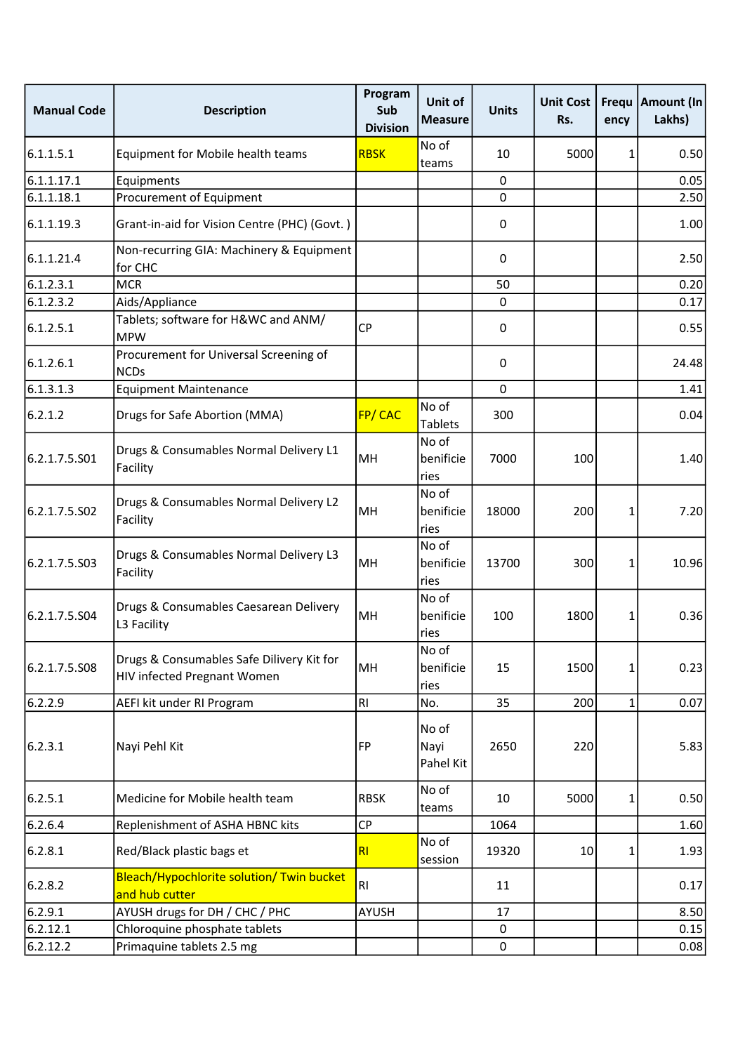| <b>Manual Code</b> | <b>Description</b>                                                       | Program<br>Sub<br><b>Division</b> | Unit of<br><b>Measure</b>  | <b>Units</b> | <b>Unit Cost</b><br>Rs. | Frequ<br>ency | <b>Amount (In</b><br>Lakhs) |
|--------------------|--------------------------------------------------------------------------|-----------------------------------|----------------------------|--------------|-------------------------|---------------|-----------------------------|
| 6.1.1.5.1          | Equipment for Mobile health teams                                        | <b>RBSK</b>                       | No of<br>teams             | 10           | 5000                    | 1             | 0.50                        |
| 6.1.1.17.1         | Equipments                                                               |                                   |                            | 0            |                         |               | 0.05                        |
| 6.1.1.18.1         | Procurement of Equipment                                                 |                                   |                            | 0            |                         |               | 2.50                        |
| 6.1.1.19.3         | Grant-in-aid for Vision Centre (PHC) (Govt.)                             |                                   |                            | 0            |                         |               | 1.00                        |
| 6.1.1.21.4         | Non-recurring GIA: Machinery & Equipment<br>for CHC                      |                                   |                            | 0            |                         |               | 2.50                        |
| 6.1.2.3.1          | <b>MCR</b>                                                               |                                   |                            | 50           |                         |               | 0.20                        |
| 6.1.2.3.2          | Aids/Appliance                                                           |                                   |                            | 0            |                         |               | 0.17                        |
| 6.1.2.5.1          | Tablets; software for H&WC and ANM/<br><b>MPW</b>                        | <b>CP</b>                         |                            | 0            |                         |               | 0.55                        |
| 6.1.2.6.1          | Procurement for Universal Screening of<br><b>NCDs</b>                    |                                   |                            | 0            |                         |               | 24.48                       |
| 6.1.3.1.3          | <b>Equipment Maintenance</b>                                             |                                   |                            | $\mathbf 0$  |                         |               | 1.41                        |
| 6.2.1.2            | Drugs for Safe Abortion (MMA)                                            | FP/CAC                            | No of<br>Tablets           | 300          |                         |               | 0.04                        |
| 6.2.1.7.5.S01      | Drugs & Consumables Normal Delivery L1<br>Facility                       | MH                                | No of<br>benificie<br>ries | 7000         | 100                     |               | 1.40                        |
| 6.2.1.7.5.S02      | Drugs & Consumables Normal Delivery L2<br>Facility                       | MH                                | No of<br>benificie<br>ries | 18000        | 200                     | 1             | 7.20                        |
| 6.2.1.7.5.503      | Drugs & Consumables Normal Delivery L3<br>Facility                       | MH                                | No of<br>benificie<br>ries | 13700        | 300                     | 1             | 10.96                       |
| 6.2.1.7.5.504      | Drugs & Consumables Caesarean Delivery<br>L3 Facility                    | MH                                | No of<br>benificie<br>ries | 100          | 1800                    | 1             | 0.36                        |
| 6.2.1.7.5.508      | Drugs & Consumables Safe Dilivery Kit for<br>HIV infected Pregnant Women | MH                                | No of<br>benificie<br>ries | 15           | 1500                    | 1             | 0.23                        |
| 6.2.2.9            | AEFI kit under RI Program                                                | <b>RI</b>                         | No.                        | 35           | 200                     | $\mathbf{1}$  | 0.07                        |
| 6.2.3.1            | Nayi Pehl Kit                                                            | FP                                | No of<br>Nayi<br>Pahel Kit | 2650         | 220                     |               | 5.83                        |
| 6.2.5.1            | Medicine for Mobile health team                                          | <b>RBSK</b>                       | No of<br>teams             | 10           | 5000                    | 1             | 0.50                        |
| 6.2.6.4            | Replenishment of ASHA HBNC kits                                          | <b>CP</b>                         |                            | 1064         |                         |               | 1.60                        |
| 6.2.8.1            | Red/Black plastic bags et                                                | RI                                | No of<br>session           | 19320        | 10                      | 1             | 1.93                        |
| 6.2.8.2            | Bleach/Hypochlorite solution/ Twin bucket<br>and hub cutter              | RI                                |                            | 11           |                         |               | 0.17                        |
| 6.2.9.1            | AYUSH drugs for DH / CHC / PHC                                           | AYUSH                             |                            | 17           |                         |               | 8.50                        |
| 6.2.12.1           | Chloroquine phosphate tablets                                            |                                   |                            | $\mathbf 0$  |                         |               | 0.15                        |
| 6.2.12.2           | Primaquine tablets 2.5 mg                                                |                                   |                            | $\mathbf 0$  |                         |               | 0.08                        |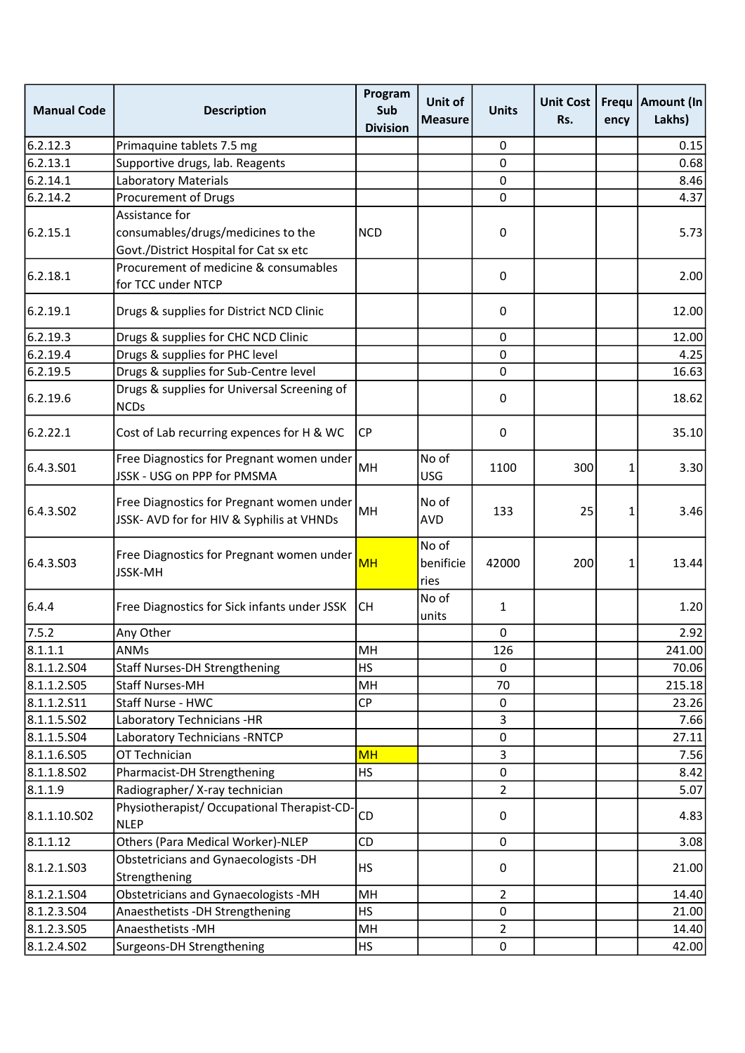| <b>Manual Code</b>    | <b>Description</b>                                                                     | Program<br>Sub<br><b>Division</b> | Unit of<br><b>Measure</b>  | <b>Units</b>   | <b>Unit Cost</b><br>Rs. | ency | Frequ   Amount (In<br>Lakhs) |
|-----------------------|----------------------------------------------------------------------------------------|-----------------------------------|----------------------------|----------------|-------------------------|------|------------------------------|
| 6.2.12.3              | Primaquine tablets 7.5 mg                                                              |                                   |                            | 0              |                         |      | 0.15                         |
| 6.2.13.1              | Supportive drugs, lab. Reagents                                                        |                                   |                            | 0              |                         |      | 0.68                         |
| 6.2.14.1              | <b>Laboratory Materials</b>                                                            |                                   |                            | $\mathbf 0$    |                         |      | 8.46                         |
| 6.2.14.2              | Procurement of Drugs                                                                   |                                   |                            | 0              |                         |      | 4.37                         |
|                       | Assistance for                                                                         |                                   |                            |                |                         |      |                              |
| 6.2.15.1              | consumables/drugs/medicines to the<br>Govt./District Hospital for Cat sx etc           | <b>NCD</b>                        |                            | 0              |                         |      | 5.73                         |
| 6.2.18.1              | Procurement of medicine & consumables<br>for TCC under NTCP                            |                                   |                            | 0              |                         |      | 2.00                         |
| 6.2.19.1              | Drugs & supplies for District NCD Clinic                                               |                                   |                            | 0              |                         |      | 12.00                        |
| 6.2.19.3              | Drugs & supplies for CHC NCD Clinic                                                    |                                   |                            | 0              |                         |      | 12.00                        |
| 6.2.19.4              | Drugs & supplies for PHC level                                                         |                                   |                            | 0              |                         |      | 4.25                         |
| 6.2.19.5              | Drugs & supplies for Sub-Centre level                                                  |                                   |                            | 0              |                         |      | 16.63                        |
| 6.2.19.6              | Drugs & supplies for Universal Screening of<br><b>NCDs</b>                             |                                   |                            | 0              |                         |      | 18.62                        |
| 6.2.22.1              | Cost of Lab recurring expences for H & WC                                              | CP                                |                            | 0              |                         |      | 35.10                        |
| 6.4.3.501             | Free Diagnostics for Pregnant women under<br>JSSK - USG on PPP for PMSMA               | MH                                | No of<br><b>USG</b>        | 1100           | 300                     | 1    | 3.30                         |
| 6.4.3.SO <sub>2</sub> | Free Diagnostics for Pregnant women under<br>JSSK- AVD for for HIV & Syphilis at VHNDs | MH                                | No of<br><b>AVD</b>        | 133            | 25                      | 1    | 3.46                         |
| 6.4.3.503             | Free Diagnostics for Pregnant women under<br><b>JSSK-MH</b>                            | <b>MH</b>                         | No of<br>benificie<br>ries | 42000          | 200                     | 1    | 13.44                        |
| 6.4.4                 | Free Diagnostics for Sick infants under JSSK                                           | СH                                | No of<br>units             | $\mathbf{1}$   |                         |      | 1.20                         |
| 7.5.2                 | Any Other                                                                              |                                   |                            | 0              |                         |      | 2.92                         |
| 8.1.1.1               | <b>ANMs</b>                                                                            | MH                                |                            | 126            |                         |      | 241.00                       |
| 8.1.1.2.504           | <b>Staff Nurses-DH Strengthening</b>                                                   | HS                                |                            | 0              |                         |      | 70.06                        |
| 8.1.1.2.S05           | <b>Staff Nurses-MH</b>                                                                 | MH                                |                            | 70             |                         |      | 215.18                       |
| 8.1.1.2.511           | Staff Nurse - HWC                                                                      | CP                                |                            | 0              |                         |      | 23.26                        |
| 8.1.1.5.502           | Laboratory Technicians -HR                                                             |                                   |                            | 3              |                         |      | 7.66                         |
| 8.1.1.5.504           | Laboratory Technicians - RNTCP                                                         |                                   |                            | $\mathsf 0$    |                         |      | 27.11                        |
| 8.1.1.6.505           | OT Technician                                                                          | <b>MH</b>                         |                            | 3              |                         |      | 7.56                         |
| 8.1.1.8.502           | Pharmacist-DH Strengthening                                                            | <b>HS</b>                         |                            | 0              |                         |      | 8.42                         |
| 8.1.1.9               | Radiographer/X-ray technician                                                          |                                   |                            | $\overline{2}$ |                         |      | 5.07                         |
| 8.1.1.10.502          | Physiotherapist/ Occupational Therapist-CD-<br><b>NLEP</b>                             | CD                                |                            | 0              |                         |      | 4.83                         |
| 8.1.1.12              | Others (Para Medical Worker)-NLEP                                                      | CD                                |                            | 0              |                         |      | 3.08                         |
| 8.1.2.1.503           | Obstetricians and Gynaecologists -DH<br>Strengthening                                  | HS                                |                            | 0              |                         |      | 21.00                        |
| 8.1.2.1.504           | Obstetricians and Gynaecologists -MH                                                   | MH                                |                            | 2              |                         |      | 14.40                        |
| 8.1.2.3.504           | Anaesthetists - DH Strengthening                                                       | HS                                |                            | 0              |                         |      | 21.00                        |
| 8.1.2.3.505           | Anaesthetists - MH                                                                     | MH                                |                            | $\overline{2}$ |                         |      | 14.40                        |
| 8.1.2.4.502           | Surgeons-DH Strengthening                                                              | <b>HS</b>                         |                            | $\mathbf 0$    |                         |      | 42.00                        |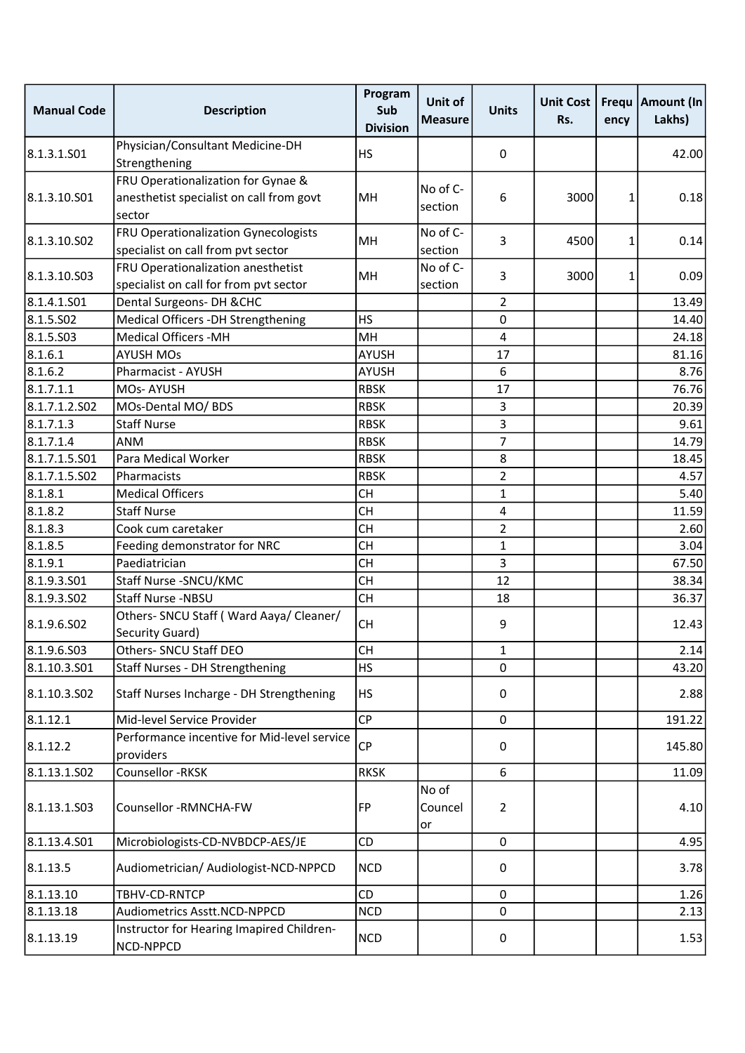| <b>Manual Code</b> | <b>Description</b>                                                                       | Program<br>Sub<br><b>Division</b> | Unit of<br><b>Measure</b> | <b>Units</b>   | <b>Unit Cost</b><br>Rs. | Frequ<br>ency | Amount (In<br>Lakhs) |
|--------------------|------------------------------------------------------------------------------------------|-----------------------------------|---------------------------|----------------|-------------------------|---------------|----------------------|
| 8.1.3.1.501        | Physician/Consultant Medicine-DH<br>Strengthening                                        | <b>HS</b>                         |                           | 0              |                         |               | 42.00                |
| 8.1.3.10.S01       | FRU Operationalization for Gynae &<br>anesthetist specialist on call from govt<br>sector | <b>MH</b>                         | No of C-<br>section       | 6              | 3000                    | 1             | 0.18                 |
| 8.1.3.10.S02       | FRU Operationalization Gynecologists<br>specialist on call from pvt sector               | MH                                | No of C-<br>section       | 3              | 4500                    | 1             | 0.14                 |
| 8.1.3.10.503       | FRU Operationalization anesthetist<br>specialist on call for from pvt sector             | MН                                | No of C-<br>section       | 3              | 3000                    | 1             | 0.09                 |
| 8.1.4.1.501        | Dental Surgeons- DH & CHC                                                                |                                   |                           | 2              |                         |               | 13.49                |
| 8.1.5.502          | Medical Officers -DH Strengthening                                                       | <b>HS</b>                         |                           | $\mathbf 0$    |                         |               | 14.40                |
| 8.1.5.503          | <b>Medical Officers -MH</b>                                                              | MH                                |                           | 4              |                         |               | 24.18                |
| 8.1.6.1            | <b>AYUSH MOs</b>                                                                         | <b>AYUSH</b>                      |                           | 17             |                         |               | 81.16                |
| 8.1.6.2            | Pharmacist - AYUSH                                                                       | <b>AYUSH</b>                      |                           | 6              |                         |               | 8.76                 |
| 8.1.7.1.1          | <b>MOs-AYUSH</b>                                                                         | <b>RBSK</b>                       |                           | 17             |                         |               | 76.76                |
| 8.1.7.1.2.502      | MOs-Dental MO/ BDS                                                                       | <b>RBSK</b>                       |                           | 3              |                         |               | 20.39                |
| 8.1.7.1.3          | <b>Staff Nurse</b>                                                                       | <b>RBSK</b>                       |                           | 3              |                         |               | 9.61                 |
| 8.1.7.1.4          | ANM                                                                                      | <b>RBSK</b>                       |                           | 7              |                         |               | 14.79                |
| 8.1.7.1.5.S01      | Para Medical Worker                                                                      | <b>RBSK</b>                       |                           | 8              |                         |               | 18.45                |
| 8.1.7.1.5.S02      | Pharmacists                                                                              | <b>RBSK</b>                       |                           | 2              |                         |               | 4.57                 |
| 8.1.8.1            | <b>Medical Officers</b>                                                                  | <b>CH</b>                         |                           | 1              |                         |               | 5.40                 |
| 8.1.8.2            | <b>Staff Nurse</b>                                                                       | <b>CH</b>                         |                           | 4              |                         |               | 11.59                |
| 8.1.8.3            | Cook cum caretaker                                                                       | <b>CH</b>                         |                           | 2              |                         |               | 2.60                 |
| 8.1.8.5            | Feeding demonstrator for NRC                                                             | <b>CH</b>                         |                           | 1              |                         |               | 3.04                 |
| 8.1.9.1            | Paediatrician                                                                            | <b>CH</b>                         |                           | 3              |                         |               | 67.50                |
| 8.1.9.3.501        | Staff Nurse - SNCU/KMC                                                                   | <b>CH</b>                         |                           | 12             |                         |               | 38.34                |
| 8.1.9.3.502        | Staff Nurse -NBSU                                                                        | <b>CH</b>                         |                           | 18             |                         |               | 36.37                |
| 8.1.9.6.S02        | Others- SNCU Staff (Ward Aaya/ Cleaner/<br>Security Guard)                               | <b>CH</b>                         |                           | 9              |                         |               | 12.43                |
| 8.1.9.6.503        | Others- SNCU Staff DEO                                                                   | <b>CH</b>                         |                           | 1              |                         |               | 2.14                 |
| 8.1.10.3.S01       | Staff Nurses - DH Strengthening                                                          | <b>HS</b>                         |                           | $\mathbf 0$    |                         |               | 43.20                |
| 8.1.10.3.502       | Staff Nurses Incharge - DH Strengthening                                                 | <b>HS</b>                         |                           | 0              |                         |               | 2.88                 |
| 8.1.12.1           | Mid-level Service Provider                                                               | CP                                |                           | $\mathbf{0}$   |                         |               | 191.22               |
| 8.1.12.2           | Performance incentive for Mid-level service<br>providers                                 | <b>CP</b>                         |                           | 0              |                         |               | 145.80               |
| 8.1.13.1.502       | Counsellor -RKSK                                                                         | <b>RKSK</b>                       |                           | 6              |                         |               | 11.09                |
| 8.1.13.1.S03       | Counsellor -RMNCHA-FW                                                                    | FP                                | No of<br>Councel<br>lor   | $\overline{2}$ |                         |               | 4.10                 |
| 8.1.13.4.S01       | Microbiologists-CD-NVBDCP-AES/JE                                                         | CD                                |                           | $\mathbf 0$    |                         |               | 4.95                 |
| 8.1.13.5           | Audiometrician/ Audiologist-NCD-NPPCD                                                    | <b>NCD</b>                        |                           | 0              |                         |               | 3.78                 |
| 8.1.13.10          | TBHV-CD-RNTCP                                                                            | <b>CD</b>                         |                           | $\mathbf 0$    |                         |               | 1.26                 |
| 8.1.13.18          | Audiometrics Asstt.NCD-NPPCD                                                             | <b>NCD</b>                        |                           | 0              |                         |               | 2.13                 |
| 8.1.13.19          | Instructor for Hearing Imapired Children-<br>NCD-NPPCD                                   | <b>NCD</b>                        |                           | $\mathsf 0$    |                         |               | 1.53                 |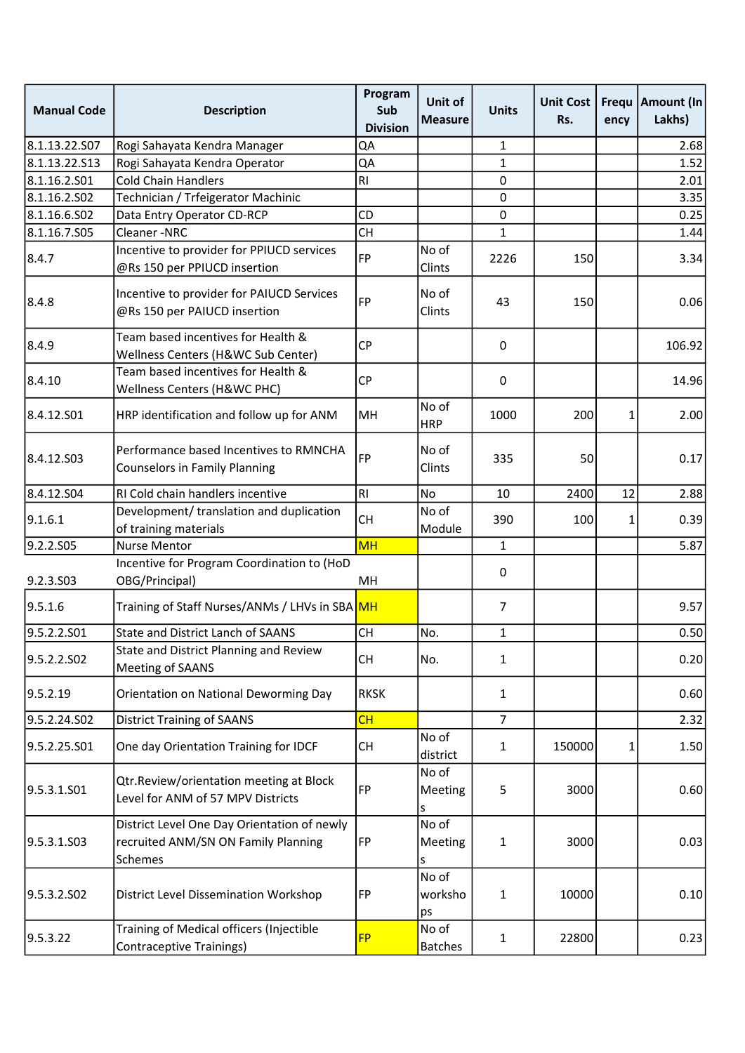| <b>Manual Code</b> | <b>Description</b>                                                                            | Program<br>Sub<br><b>Division</b> | Unit of<br><b>Measure</b> | <b>Units</b>   | <b>Unit Cost</b><br>Rs. | ency | Frequ   Amount (In<br>Lakhs) |
|--------------------|-----------------------------------------------------------------------------------------------|-----------------------------------|---------------------------|----------------|-------------------------|------|------------------------------|
| 8.1.13.22.S07      | Rogi Sahayata Kendra Manager                                                                  | QA                                |                           | 1              |                         |      | 2.68                         |
| 8.1.13.22.513      | Rogi Sahayata Kendra Operator                                                                 | QA                                |                           | $\mathbf{1}$   |                         |      | 1.52                         |
| 8.1.16.2.S01       | <b>Cold Chain Handlers</b>                                                                    | R <sub>l</sub>                    |                           | 0              |                         |      | 2.01                         |
| 8.1.16.2.S02       | Technician / Trfeigerator Machinic                                                            |                                   |                           | 0              |                         |      | 3.35                         |
| 8.1.16.6.502       | Data Entry Operator CD-RCP                                                                    | CD                                |                           | $\mathbf 0$    |                         |      | 0.25                         |
| 8.1.16.7.S05       | Cleaner-NRC                                                                                   | <b>CH</b>                         |                           | 1              |                         |      | 1.44                         |
| 8.4.7              | Incentive to provider for PPIUCD services<br>@Rs 150 per PPIUCD insertion                     | <b>FP</b>                         | No of<br>Clints           | 2226           | 150                     |      | 3.34                         |
| 8.4.8              | Incentive to provider for PAIUCD Services<br>@Rs 150 per PAIUCD insertion                     | <b>FP</b>                         | No of<br>Clints           | 43             | 150                     |      | 0.06                         |
| 8.4.9              | Team based incentives for Health &<br>Wellness Centers (H&WC Sub Center)                      | <b>CP</b>                         |                           | 0              |                         |      | 106.92                       |
| 8.4.10             | Team based incentives for Health &<br>Wellness Centers (H&WC PHC)                             | <b>CP</b>                         |                           | 0              |                         |      | 14.96                        |
| 8.4.12.S01         | HRP identification and follow up for ANM                                                      | MH                                | No of<br><b>HRP</b>       | 1000           | 200                     | 1    | 2.00                         |
| 8.4.12.S03         | Performance based Incentives to RMNCHA<br><b>Counselors in Family Planning</b>                | <b>FP</b>                         | No of<br>Clints           | 335            | 50                      |      | 0.17                         |
| 8.4.12.504         | RI Cold chain handlers incentive                                                              | RI                                | <b>No</b>                 | 10             | 2400                    | 12   | 2.88                         |
| 9.1.6.1            | Development/ translation and duplication<br>of training materials                             | <b>CH</b>                         | No of<br>Module           | 390            | 100                     | 1    | 0.39                         |
| 9.2.2.S05          | <b>Nurse Mentor</b>                                                                           | <b>MH</b>                         |                           | 1              |                         |      | 5.87                         |
| 9.2.3.S03          | Incentive for Program Coordination to (HoD<br>OBG/Principal)                                  | MH                                |                           | 0              |                         |      |                              |
| 9.5.1.6            | Training of Staff Nurses/ANMs / LHVs in SBA MH                                                |                                   |                           | 7              |                         |      | 9.57                         |
| 9.5.2.2.S01        | <b>State and District Lanch of SAANS</b>                                                      | <b>CH</b>                         | No.                       | $\mathbf{1}$   |                         |      | 0.50                         |
| 9.5.2.2.SO2        | State and District Planning and Review<br>Meeting of SAANS                                    | <b>CH</b>                         | No.                       | 1              |                         |      | 0.20                         |
| 9.5.2.19           | Orientation on National Deworming Day                                                         | <b>RKSK</b>                       |                           | 1              |                         |      | 0.60                         |
| 9.5.2.24.SO2       | <b>District Training of SAANS</b>                                                             | CH                                |                           | $\overline{7}$ |                         |      | 2.32                         |
| 9.5.2.25.S01       | One day Orientation Training for IDCF                                                         | <b>CH</b>                         | No of<br>district         | 1              | 150000                  | 1    | 1.50                         |
| 9.5.3.1.S01        | Qtr.Review/orientation meeting at Block<br>Level for ANM of 57 MPV Districts                  | <b>FP</b>                         | No of<br>Meeting<br>s     | 5              | 3000                    |      | 0.60                         |
| 9.5.3.1.S03        | District Level One Day Orientation of newly<br>recruited ANM/SN ON Family Planning<br>Schemes | FP                                | No of<br>Meeting<br>S     | 1              | 3000                    |      | 0.03                         |
| 9.5.3.2.502        | District Level Dissemination Workshop                                                         | <b>FP</b>                         | No of<br>worksho<br>ps    | $\mathbf{1}$   | 10000                   |      | 0.10                         |
| 9.5.3.22           | Training of Medical officers (Injectible<br>Contraceptive Trainings)                          | <b>FP</b>                         | No of<br><b>Batches</b>   | 1              | 22800                   |      | 0.23                         |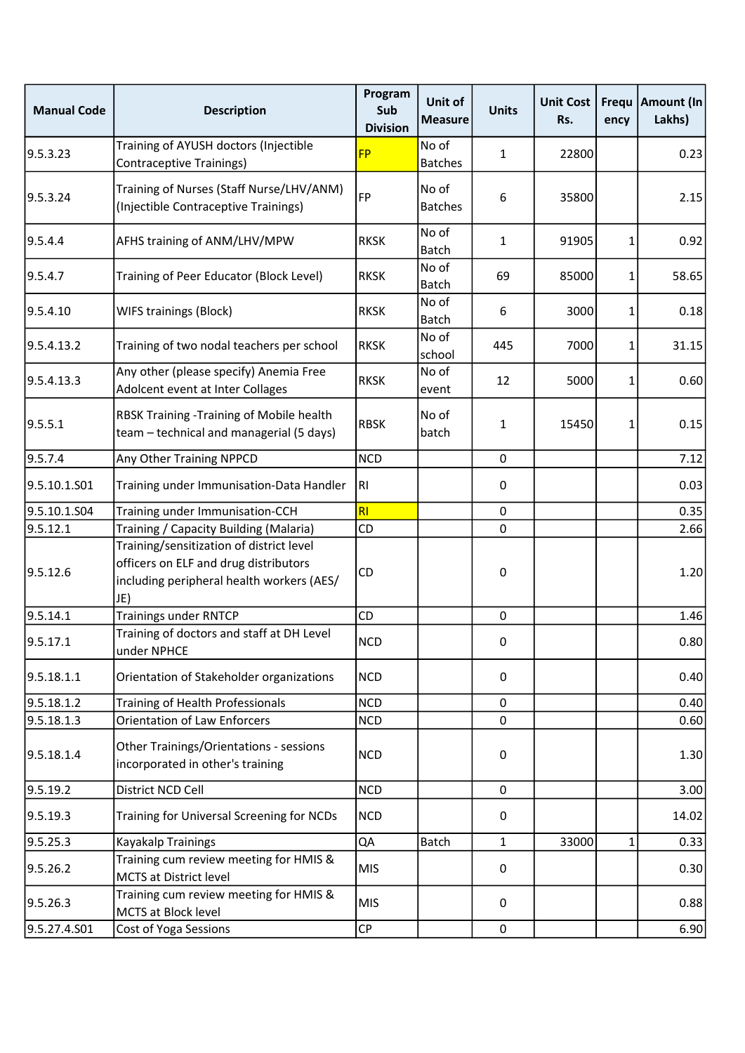| <b>Manual Code</b> | <b>Description</b>                                                                                                                    | Program<br>Sub<br><b>Division</b> | Unit of<br><b>Measure</b> | <b>Units</b> | <b>Unit Cost</b><br>Rs. | Frequ<br>ency | Amount (In<br>Lakhs) |
|--------------------|---------------------------------------------------------------------------------------------------------------------------------------|-----------------------------------|---------------------------|--------------|-------------------------|---------------|----------------------|
| 9.5.3.23           | Training of AYUSH doctors (Injectible<br><b>Contraceptive Trainings)</b>                                                              | <b>FP</b>                         | No of<br><b>Batches</b>   | 1            | 22800                   |               | 0.23                 |
| 9.5.3.24           | Training of Nurses (Staff Nurse/LHV/ANM)<br>(Injectible Contraceptive Trainings)                                                      | <b>FP</b>                         | No of<br><b>Batches</b>   | 6            | 35800                   |               | 2.15                 |
| 9.5.4.4            | AFHS training of ANM/LHV/MPW                                                                                                          | <b>RKSK</b>                       | No of<br>Batch            | 1            | 91905                   | 1             | 0.92                 |
| 9.5.4.7            | Training of Peer Educator (Block Level)                                                                                               | <b>RKSK</b>                       | No of<br><b>Batch</b>     | 69           | 85000                   | 1             | 58.65                |
| 9.5.4.10           | WIFS trainings (Block)                                                                                                                | <b>RKSK</b>                       | No of<br>Batch            | 6            | 3000                    | 1             | 0.18                 |
| 9.5.4.13.2         | Training of two nodal teachers per school                                                                                             | <b>RKSK</b>                       | No of<br>school           | 445          | 7000                    | 1             | 31.15                |
| 9.5.4.13.3         | Any other (please specify) Anemia Free<br>Adolcent event at Inter Collages                                                            | <b>RKSK</b>                       | No of<br>event            | 12           | 5000                    | $\mathbf{1}$  | 0.60                 |
| 9.5.5.1            | RBSK Training -Training of Mobile health<br>team - technical and managerial (5 days)                                                  | <b>RBSK</b>                       | No of<br>batch            | 1            | 15450                   | 1             | 0.15                 |
| 9.5.7.4            | Any Other Training NPPCD                                                                                                              | <b>NCD</b>                        |                           | $\mathsf 0$  |                         |               | 7.12                 |
| 9.5.10.1.S01       | Training under Immunisation-Data Handler                                                                                              | R <sub>l</sub>                    |                           | 0            |                         |               | 0.03                 |
| 9.5.10.1.S04       | Training under Immunisation-CCH                                                                                                       | RI                                |                           | $\pmb{0}$    |                         |               | 0.35                 |
| 9.5.12.1           | Training / Capacity Building (Malaria)                                                                                                | CD                                |                           | $\pmb{0}$    |                         |               | 2.66                 |
| 9.5.12.6           | Training/sensitization of district level<br>officers on ELF and drug distributors<br>including peripheral health workers (AES/<br>JE) | CD                                |                           | 0            |                         |               | 1.20                 |
| 9.5.14.1           | <b>Trainings under RNTCP</b>                                                                                                          | CD                                |                           | $\pmb{0}$    |                         |               | 1.46                 |
| 9.5.17.1           | Training of doctors and staff at DH Level<br>under NPHCE                                                                              | <b>NCD</b>                        |                           | $\Omega$     |                         |               | 0.80                 |
| 9.5.18.1.1         | Orientation of Stakeholder organizations                                                                                              | <b>NCD</b>                        |                           | 0            |                         |               | 0.40                 |
| 9.5.18.1.2         | Training of Health Professionals                                                                                                      | <b>NCD</b>                        |                           | $\mathbf 0$  |                         |               | 0.40                 |
| 9.5.18.1.3         | Orientation of Law Enforcers                                                                                                          | <b>NCD</b>                        |                           | $\mathsf 0$  |                         |               | 0.60                 |
| 9.5.18.1.4         | Other Trainings/Orientations - sessions<br>incorporated in other's training                                                           | <b>NCD</b>                        |                           | 0            |                         |               | 1.30                 |
| 9.5.19.2           | District NCD Cell                                                                                                                     | <b>NCD</b>                        |                           | 0            |                         |               | 3.00                 |
| 9.5.19.3           | Training for Universal Screening for NCDs                                                                                             | <b>NCD</b>                        |                           | 0            |                         |               | 14.02                |
| 9.5.25.3           | Kayakalp Trainings                                                                                                                    | QA                                | <b>Batch</b>              | 1            | 33000                   | 1             | 0.33                 |
| 9.5.26.2           | Training cum review meeting for HMIS &<br>MCTS at District level                                                                      | <b>MIS</b>                        |                           | 0            |                         |               | 0.30                 |
| 9.5.26.3           | Training cum review meeting for HMIS &<br>MCTS at Block level                                                                         | <b>MIS</b>                        |                           | 0            |                         |               | 0.88                 |
| 9.5.27.4.S01       | Cost of Yoga Sessions                                                                                                                 | CP                                |                           | $\pmb{0}$    |                         |               | 6.90                 |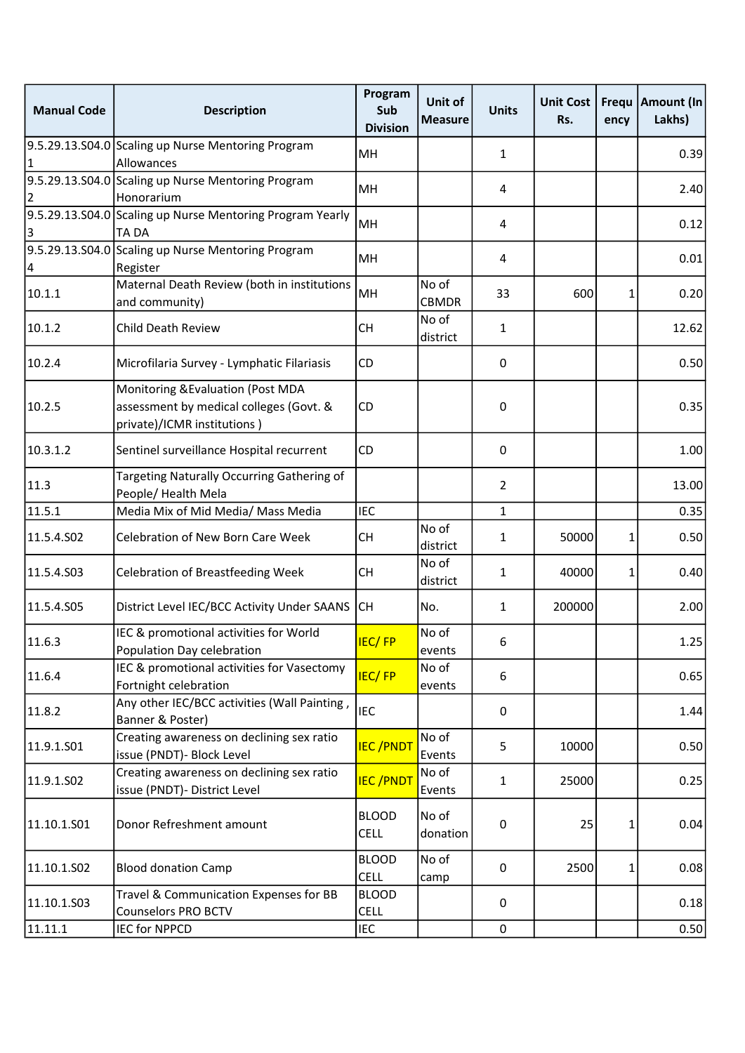| <b>Manual Code</b> | <b>Description</b>                                                                                          | Program<br>Sub<br><b>Division</b> | Unit of<br><b>Measure</b> | <b>Units</b>     | <b>Unit Cost</b><br>Rs. | ency | Frequ   Amount (In<br>Lakhs) |
|--------------------|-------------------------------------------------------------------------------------------------------------|-----------------------------------|---------------------------|------------------|-------------------------|------|------------------------------|
|                    | 9.5.29.13.S04.0 Scaling up Nurse Mentoring Program                                                          | MН                                |                           | 1                |                         |      | 0.39                         |
|                    | Allowances                                                                                                  |                                   |                           |                  |                         |      |                              |
|                    | 9.5.29.13.S04.0 Scaling up Nurse Mentoring Program<br>Honorarium                                            | MH                                |                           | 4                |                         |      | 2.40                         |
|                    | 9.5.29.13.S04.0 Scaling up Nurse Mentoring Program Yearly                                                   |                                   |                           |                  |                         |      |                              |
|                    | TA DA                                                                                                       | MH                                |                           | 4                |                         |      | 0.12                         |
|                    | 9.5.29.13.S04.0 Scaling up Nurse Mentoring Program                                                          | MH                                |                           | 4                |                         |      |                              |
| 14                 | Register                                                                                                    |                                   |                           |                  |                         |      | 0.01                         |
| 10.1.1             | Maternal Death Review (both in institutions<br>and community)                                               | MH                                | No of<br><b>CBMDR</b>     | 33               | 600                     | 1    | 0.20                         |
| 10.1.2             | Child Death Review                                                                                          | <b>CH</b>                         | No of<br>district         | $\mathbf{1}$     |                         |      | 12.62                        |
| 10.2.4             | Microfilaria Survey - Lymphatic Filariasis                                                                  | CD                                |                           | 0                |                         |      | 0.50                         |
| 10.2.5             | Monitoring & Evaluation (Post MDA<br>assessment by medical colleges (Govt. &<br>private)/ICMR institutions) | CD                                |                           | $\pmb{0}$        |                         |      | 0.35                         |
| 10.3.1.2           | Sentinel surveillance Hospital recurrent                                                                    | CD                                |                           | 0                |                         |      | 1.00                         |
| 11.3               | Targeting Naturally Occurring Gathering of<br>People/ Health Mela                                           |                                   |                           | $\overline{2}$   |                         |      | 13.00                        |
| 11.5.1             | Media Mix of Mid Media/ Mass Media                                                                          | <b>IEC</b>                        |                           | $\mathbf{1}$     |                         |      | 0.35                         |
| 11.5.4.S02         | Celebration of New Born Care Week                                                                           | <b>CH</b>                         | No of<br>district         | 1                | 50000                   | 1    | 0.50                         |
| 11.5.4.503         | <b>Celebration of Breastfeeding Week</b>                                                                    | <b>CH</b>                         | No of<br>district         | $\mathbf{1}$     | 40000                   | 1    | 0.40                         |
| 11.5.4.505         | District Level IEC/BCC Activity Under SAANS                                                                 | lсн                               | No.                       | 1                | 200000                  |      | 2.00                         |
| 11.6.3             | IEC & promotional activities for World<br>Population Day celebration                                        | IEC/FP                            | No of<br>events           | 6                |                         |      | 1.25                         |
| 11.6.4             | IEC & promotional activities for Vasectomy<br>Fortnight celebration                                         | <b>IEC/FP</b>                     | No of<br>events           | 6                |                         |      | 0.65                         |
| 11.8.2             | Any other IEC/BCC activities (Wall Painting,<br>Banner & Poster)                                            | <b>IEC</b>                        |                           | $\boldsymbol{0}$ |                         |      | 1.44                         |
| 11.9.1.S01         | Creating awareness on declining sex ratio<br>issue (PNDT)- Block Level                                      | <b>IEC/PNDT</b>                   | No of<br>Events           | 5                | 10000                   |      | 0.50                         |
| 11.9.1.SO2         | Creating awareness on declining sex ratio<br>issue (PNDT)- District Level                                   | <b>IEC/PNDT</b>                   | No of<br>Events           | 1                | 25000                   |      | 0.25                         |
| 11.10.1.501        | Donor Refreshment amount                                                                                    | <b>BLOOD</b><br><b>CELL</b>       | No of<br>donation         | 0                | 25                      | 1    | 0.04                         |
| 11.10.1.502        | <b>Blood donation Camp</b>                                                                                  | <b>BLOOD</b><br><b>CELL</b>       | No of<br>camp             | 0                | 2500                    | 1    | 0.08                         |
| 11.10.1.503        | Travel & Communication Expenses for BB<br><b>Counselors PRO BCTV</b>                                        | <b>BLOOD</b><br><b>CELL</b>       |                           | 0                |                         |      | 0.18                         |
| 11.11.1            | <b>IEC for NPPCD</b>                                                                                        | <b>IEC</b>                        |                           | $\pmb{0}$        |                         |      | 0.50                         |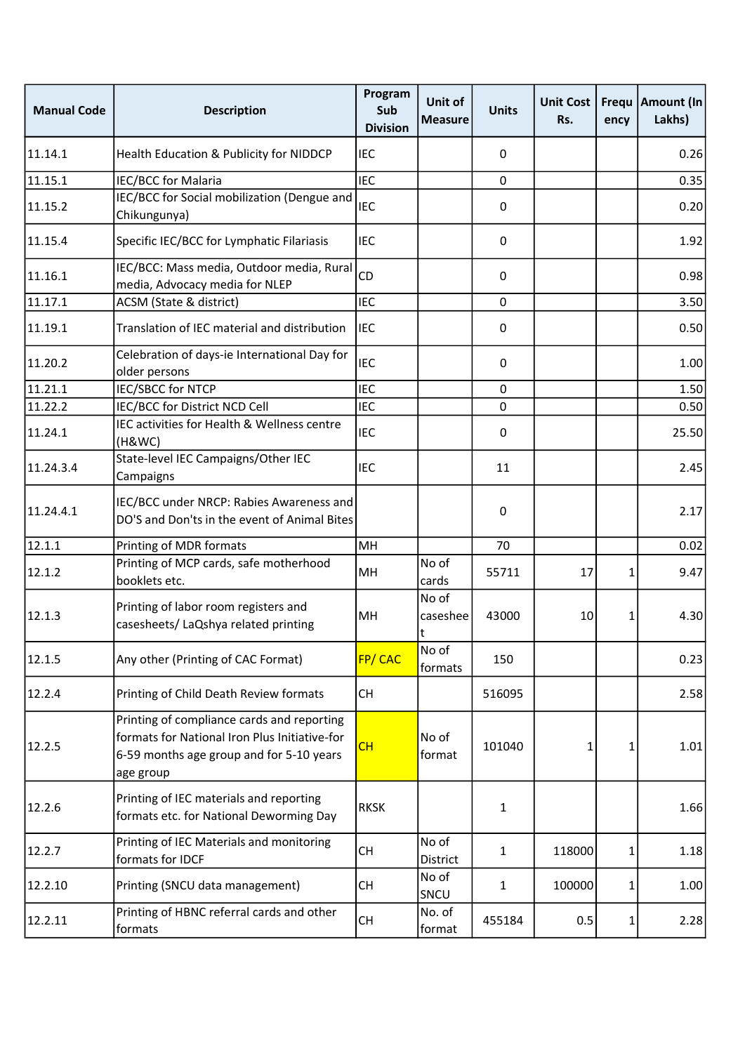| <b>Manual Code</b> | <b>Description</b>                                                                                                                                   | Program<br>Sub<br><b>Division</b> | Unit of<br><b>Measure</b> | <b>Units</b> | <b>Unit Cost</b><br>Rs. | Frequ<br>ency | <b>Amount (In</b><br>Lakhs) |
|--------------------|------------------------------------------------------------------------------------------------------------------------------------------------------|-----------------------------------|---------------------------|--------------|-------------------------|---------------|-----------------------------|
| 11.14.1            | Health Education & Publicity for NIDDCP                                                                                                              | <b>IEC</b>                        |                           | 0            |                         |               | 0.26                        |
| 11.15.1            | IEC/BCC for Malaria                                                                                                                                  | <b>IEC</b>                        |                           | $\mathbf 0$  |                         |               | 0.35                        |
| 11.15.2            | IEC/BCC for Social mobilization (Dengue and<br>Chikungunya)                                                                                          | <b>IEC</b>                        |                           | 0            |                         |               | 0.20                        |
| 11.15.4            | Specific IEC/BCC for Lymphatic Filariasis                                                                                                            | <b>IEC</b>                        |                           | 0            |                         |               | 1.92                        |
| 11.16.1            | IEC/BCC: Mass media, Outdoor media, Rural<br>media, Advocacy media for NLEP                                                                          | CD                                |                           | 0            |                         |               | 0.98                        |
| 11.17.1            | ACSM (State & district)                                                                                                                              | <b>IEC</b>                        |                           | 0            |                         |               | 3.50                        |
| 11.19.1            | Translation of IEC material and distribution                                                                                                         | <b>IEC</b>                        |                           | 0            |                         |               | 0.50                        |
| 11.20.2            | Celebration of days-ie International Day for<br>older persons                                                                                        | <b>IEC</b>                        |                           | 0            |                         |               | 1.00                        |
| 11.21.1            | IEC/SBCC for NTCP                                                                                                                                    | <b>IEC</b>                        |                           | 0            |                         |               | 1.50                        |
| 11.22.2            | IEC/BCC for District NCD Cell                                                                                                                        | <b>IEC</b>                        |                           | 0            |                         |               | 0.50                        |
| 11.24.1            | IEC activities for Health & Wellness centre<br>(H&WC)                                                                                                | <b>IEC</b>                        |                           | 0            |                         |               | 25.50                       |
| 11.24.3.4          | State-level IEC Campaigns/Other IEC<br>Campaigns                                                                                                     | <b>IEC</b>                        |                           | 11           |                         |               | 2.45                        |
| 11.24.4.1          | IEC/BCC under NRCP: Rabies Awareness and<br>DO'S and Don'ts in the event of Animal Bites                                                             |                                   |                           | 0            |                         |               | 2.17                        |
| 12.1.1             | Printing of MDR formats                                                                                                                              | MH                                |                           | 70           |                         |               | 0.02                        |
| 12.1.2             | Printing of MCP cards, safe motherhood<br>booklets etc.                                                                                              | MН                                | No of<br>cards            | 55711        | 17                      | 1             | 9.47                        |
| 12.1.3             | Printing of labor room registers and<br>casesheets/ LaQshya related printing                                                                         | MH                                | No of<br>caseshee<br>t    | 43000        | 10                      | 1             | 4.30                        |
| 12.1.5             | Any other (Printing of CAC Format)                                                                                                                   | FP/CAC                            | No of<br>formats          | 150          |                         |               | 0.23                        |
| 12.2.4             | Printing of Child Death Review formats                                                                                                               | <b>CH</b>                         |                           | 516095       |                         |               | 2.58                        |
| 12.2.5             | Printing of compliance cards and reporting<br>formats for National Iron Plus Initiative-for<br>6-59 months age group and for 5-10 years<br>age group | CH                                | No of<br>format           | 101040       | 1                       | 1             | 1.01                        |
| 12.2.6             | Printing of IEC materials and reporting<br>formats etc. for National Deworming Day                                                                   | <b>RKSK</b>                       |                           | 1            |                         |               | 1.66                        |
| 12.2.7             | Printing of IEC Materials and monitoring<br>formats for IDCF                                                                                         | <b>CH</b>                         | No of<br>District         | 1            | 118000                  | 1             | 1.18                        |
| 12.2.10            | Printing (SNCU data management)                                                                                                                      | <b>CH</b>                         | No of<br>SNCU             | $\mathbf{1}$ | 100000                  | 1             | 1.00                        |
| 12.2.11            | Printing of HBNC referral cards and other<br>formats                                                                                                 | <b>CH</b>                         | No. of<br>format          | 455184       | 0.5                     | 1             | 2.28                        |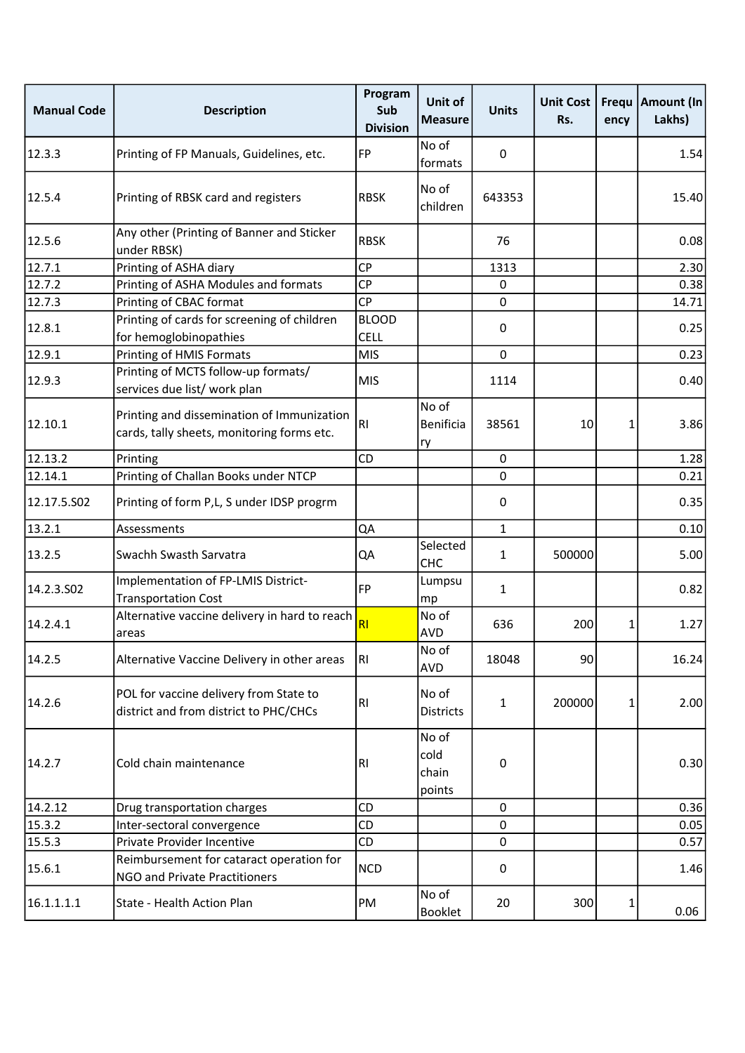| <b>Manual Code</b> | <b>Description</b>                                                                       | Program<br>Sub<br><b>Division</b> | Unit of<br><b>Measure</b>        | <b>Units</b> | <b>Unit Cost</b><br>Rs. | ency | Frequ   Amount (In<br>Lakhs) |
|--------------------|------------------------------------------------------------------------------------------|-----------------------------------|----------------------------------|--------------|-------------------------|------|------------------------------|
| 12.3.3             | Printing of FP Manuals, Guidelines, etc.                                                 | <b>FP</b>                         | No of<br>formats                 | $\mathbf 0$  |                         |      | 1.54                         |
| 12.5.4             | Printing of RBSK card and registers                                                      | <b>RBSK</b>                       | No of<br>children                | 643353       |                         |      | 15.40                        |
| 12.5.6             | Any other (Printing of Banner and Sticker<br>under RBSK)                                 | <b>RBSK</b>                       |                                  | 76           |                         |      | 0.08                         |
| 12.7.1             | Printing of ASHA diary                                                                   | <b>CP</b>                         |                                  | 1313         |                         |      | 2.30                         |
| 12.7.2             | Printing of ASHA Modules and formats                                                     | <b>CP</b>                         |                                  | 0            |                         |      | 0.38                         |
| 12.7.3             | Printing of CBAC format                                                                  | <b>CP</b>                         |                                  | 0            |                         |      | 14.71                        |
| 12.8.1             | Printing of cards for screening of children<br>for hemoglobinopathies                    | <b>BLOOD</b><br><b>CELL</b>       |                                  | 0            |                         |      | 0.25                         |
| 12.9.1             | Printing of HMIS Formats                                                                 | <b>MIS</b>                        |                                  | 0            |                         |      | 0.23                         |
| 12.9.3             | Printing of MCTS follow-up formats/<br>services due list/ work plan                      | <b>MIS</b>                        |                                  | 1114         |                         |      | 0.40                         |
| 12.10.1            | Printing and dissemination of Immunization<br>cards, tally sheets, monitoring forms etc. | R <sub>l</sub>                    | No of<br><b>Benificia</b><br>ry  | 38561        | 10                      | 1    | 3.86                         |
| 12.13.2            | Printing                                                                                 | CD                                |                                  | $\pmb{0}$    |                         |      | 1.28                         |
| 12.14.1            | Printing of Challan Books under NTCP                                                     |                                   |                                  | 0            |                         |      | 0.21                         |
| 12.17.5.S02        | Printing of form P,L, S under IDSP progrm                                                |                                   |                                  | 0            |                         |      | 0.35                         |
| 13.2.1             | Assessments                                                                              | QA                                |                                  | $\mathbf{1}$ |                         |      | 0.10                         |
| 13.2.5             | Swachh Swasth Sarvatra                                                                   | QA                                | Selected<br><b>CHC</b>           | $\mathbf{1}$ | 500000                  |      | 5.00                         |
| 14.2.3.502         | Implementation of FP-LMIS District-<br><b>Transportation Cost</b>                        | <b>FP</b>                         | Lumpsu<br>mp                     | $\mathbf{1}$ |                         |      | 0.82                         |
| 14.2.4.1           | Alternative vaccine delivery in hard to reach<br>areas                                   | R <sub>l</sub>                    | No of<br><b>AVD</b>              | 636          | 200                     | 1    | 1.27                         |
| 14.2.5             | Alternative Vaccine Delivery in other areas                                              | R <sub>1</sub>                    | No of<br>AVD                     | 18048        | 90                      |      | 16.24                        |
| 14.2.6             | POL for vaccine delivery from State to<br>district and from district to PHC/CHCs         | R <sub>l</sub>                    | No of<br><b>Districts</b>        | $\mathbf{1}$ | 200000                  | 1    | 2.00                         |
| 14.2.7             | Cold chain maintenance                                                                   | RI                                | No of<br>cold<br>chain<br>points | 0            |                         |      | 0.30                         |
| 14.2.12            | Drug transportation charges                                                              | CD                                |                                  | $\mathbf 0$  |                         |      | 0.36                         |
| 15.3.2             | Inter-sectoral convergence                                                               | <b>CD</b>                         |                                  | 0            |                         |      | 0.05                         |
| 15.5.3             | Private Provider Incentive                                                               | CD                                |                                  | 0            |                         |      | 0.57                         |
| 15.6.1             | Reimbursement for cataract operation for<br>NGO and Private Practitioners                | <b>NCD</b>                        |                                  | $\mathbf 0$  |                         |      | 1.46                         |
| 16.1.1.1.1         | State - Health Action Plan                                                               | PM                                | No of<br>Booklet                 | 20           | 300                     | 1    | 0.06                         |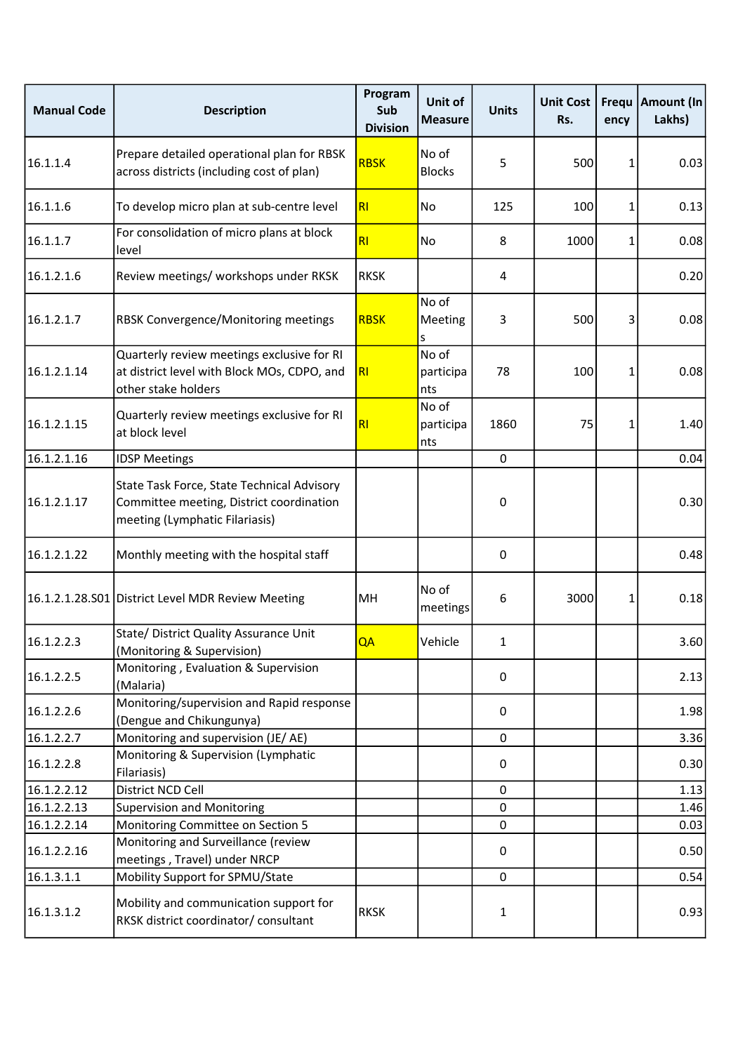| <b>Manual Code</b> | <b>Description</b>                                                                                                       | Program<br>Sub<br><b>Division</b> | Unit of<br><b>Measure</b> | <b>Units</b> | <b>Unit Cost</b><br>Rs. | ency | Frequ   Amount (In<br>Lakhs) |
|--------------------|--------------------------------------------------------------------------------------------------------------------------|-----------------------------------|---------------------------|--------------|-------------------------|------|------------------------------|
| 16.1.1.4           | Prepare detailed operational plan for RBSK<br>across districts (including cost of plan)                                  | <b>RBSK</b>                       | No of<br><b>Blocks</b>    | 5            | 500                     | 1    | 0.03                         |
| 16.1.1.6           | To develop micro plan at sub-centre level                                                                                | RI                                | No                        | 125          | 100                     | 1    | 0.13                         |
| 16.1.1.7           | For consolidation of micro plans at block<br>level                                                                       | RI                                | No                        | 8            | 1000                    | 1    | 0.08                         |
| 16.1.2.1.6         | Review meetings/ workshops under RKSK                                                                                    | <b>RKSK</b>                       |                           | 4            |                         |      | 0.20                         |
| 16.1.2.1.7         | RBSK Convergence/Monitoring meetings                                                                                     | <b>RBSK</b>                       | No of<br>Meeting<br>s     | 3            | 500                     | 3    | 0.08                         |
| 16.1.2.1.14        | Quarterly review meetings exclusive for RI<br>at district level with Block MOs, CDPO, and<br>other stake holders         | R <sub>l</sub>                    | No of<br>participa<br>nts | 78           | 100                     | 1    | 0.08                         |
| 16.1.2.1.15        | Quarterly review meetings exclusive for RI<br>at block level                                                             | RI                                | No of<br>participa<br>nts | 1860         | 75                      | 1    | 1.40                         |
| 16.1.2.1.16        | <b>IDSP Meetings</b>                                                                                                     |                                   |                           | 0            |                         |      | 0.04                         |
| 16.1.2.1.17        | State Task Force, State Technical Advisory<br>Committee meeting, District coordination<br>meeting (Lymphatic Filariasis) |                                   |                           | 0            |                         |      | 0.30                         |
| 16.1.2.1.22        | Monthly meeting with the hospital staff                                                                                  |                                   |                           | 0            |                         |      | 0.48                         |
|                    | 16.1.2.1.28.S01 District Level MDR Review Meeting                                                                        | MН                                | No of<br>meetings         | 6            | 3000                    | 1    | 0.18                         |
| 16.1.2.2.3         | State/ District Quality Assurance Unit<br>(Monitoring & Supervision)                                                     | QA                                | Vehicle                   | 1            |                         |      | 3.60                         |
| 16.1.2.2.5         | Monitoring, Evaluation & Supervision<br>(Malaria)                                                                        |                                   |                           | 0            |                         |      | 2.13                         |
| 16.1.2.2.6         | Monitoring/supervision and Rapid response<br>(Dengue and Chikungunya)                                                    |                                   |                           | 0            |                         |      | 1.98                         |
| 16.1.2.2.7         | Monitoring and supervision (JE/AE)                                                                                       |                                   |                           | 0            |                         |      | 3.36                         |
| 16.1.2.2.8         | Monitoring & Supervision (Lymphatic<br>Filariasis)                                                                       |                                   |                           | $\mathbf 0$  |                         |      | 0.30                         |
| 16.1.2.2.12        | District NCD Cell                                                                                                        |                                   |                           | 0            |                         |      | 1.13                         |
| 16.1.2.2.13        | <b>Supervision and Monitoring</b>                                                                                        |                                   |                           | 0            |                         |      | 1.46                         |
| 16.1.2.2.14        | Monitoring Committee on Section 5                                                                                        |                                   |                           | 0            |                         |      | 0.03                         |
| 16.1.2.2.16        | Monitoring and Surveillance (review<br>meetings, Travel) under NRCP                                                      |                                   |                           | 0            |                         |      | 0.50                         |
| 16.1.3.1.1         | Mobility Support for SPMU/State                                                                                          |                                   |                           | 0            |                         |      | 0.54                         |
| 16.1.3.1.2         | Mobility and communication support for<br>RKSK district coordinator/ consultant                                          | <b>RKSK</b>                       |                           | 1            |                         |      | 0.93                         |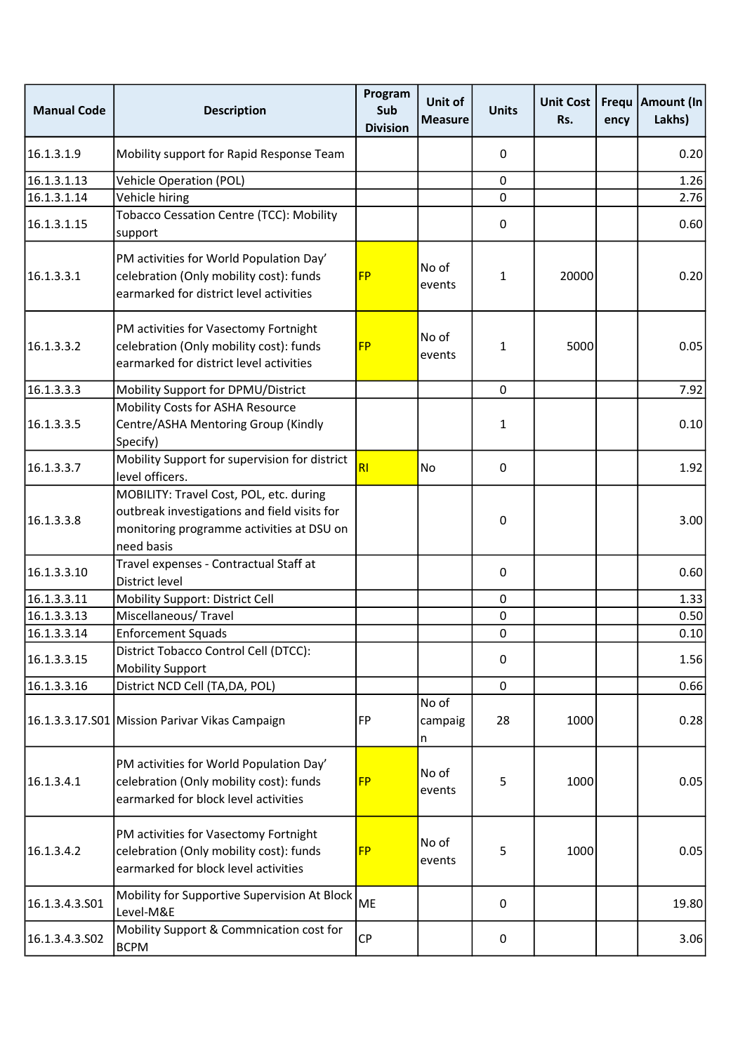| <b>Manual Code</b> | <b>Description</b>                                                                                                                                 | Program<br>Sub<br><b>Division</b> | Unit of<br><b>Measure</b> | <b>Units</b> | <b>Unit Cost</b><br>Rs. | Frequ<br>ency | <b>Amount (In</b><br>Lakhs) |
|--------------------|----------------------------------------------------------------------------------------------------------------------------------------------------|-----------------------------------|---------------------------|--------------|-------------------------|---------------|-----------------------------|
| 16.1.3.1.9         | Mobility support for Rapid Response Team                                                                                                           |                                   |                           | 0            |                         |               | 0.20                        |
| 16.1.3.1.13        | <b>Vehicle Operation (POL)</b>                                                                                                                     |                                   |                           | 0            |                         |               | 1.26                        |
| 16.1.3.1.14        | Vehicle hiring                                                                                                                                     |                                   |                           | 0            |                         |               | 2.76                        |
| 16.1.3.1.15        | Tobacco Cessation Centre (TCC): Mobility<br>support                                                                                                |                                   |                           | 0            |                         |               | 0.60                        |
| 16.1.3.3.1         | PM activities for World Population Day'<br>celebration (Only mobility cost): funds<br>earmarked for district level activities                      | <b>FP</b>                         | No of<br>events           | 1            | 20000                   |               | 0.20                        |
| 16.1.3.3.2         | PM activities for Vasectomy Fortnight<br>celebration (Only mobility cost): funds<br>earmarked for district level activities                        | <b>FP</b>                         | No of<br>events           | 1            | 5000                    |               | 0.05                        |
| 16.1.3.3.3         | Mobility Support for DPMU/District                                                                                                                 |                                   |                           | $\mathbf{0}$ |                         |               | 7.92                        |
| 16.1.3.3.5         | Mobility Costs for ASHA Resource<br>Centre/ASHA Mentoring Group (Kindly<br>Specify)                                                                |                                   |                           | 1            |                         |               | 0.10                        |
| 16.1.3.3.7         | Mobility Support for supervision for district<br>level officers.                                                                                   | RI                                | No                        | 0            |                         |               | 1.92                        |
| 16.1.3.3.8         | MOBILITY: Travel Cost, POL, etc. during<br>outbreak investigations and field visits for<br>monitoring programme activities at DSU on<br>need basis |                                   |                           | 0            |                         |               | 3.00                        |
| 16.1.3.3.10        | Travel expenses - Contractual Staff at<br>District level                                                                                           |                                   |                           | 0            |                         |               | 0.60                        |
| 16.1.3.3.11        | Mobility Support: District Cell                                                                                                                    |                                   |                           | 0            |                         |               | 1.33                        |
| 16.1.3.3.13        | Miscellaneous/Travel                                                                                                                               |                                   |                           | $\pmb{0}$    |                         |               | 0.50                        |
| 16.1.3.3.14        | <b>Enforcement Squads</b>                                                                                                                          |                                   |                           | $\pmb{0}$    |                         |               | 0.10                        |
| 16.1.3.3.15        | District Tobacco Control Cell (DTCC):<br><b>Mobility Support</b>                                                                                   |                                   |                           | $\pmb{0}$    |                         |               | 1.56                        |
| 16.1.3.3.16        | District NCD Cell (TA, DA, POL)                                                                                                                    |                                   |                           | 0            |                         |               | 0.66                        |
|                    | 16.1.3.3.17.S01 Mission Parivar Vikas Campaign                                                                                                     | FP                                | No of<br>campaig<br>n     | 28           | 1000                    |               | 0.28                        |
| 16.1.3.4.1         | PM activities for World Population Day'<br>celebration (Only mobility cost): funds<br>earmarked for block level activities                         | <b>FP</b>                         | No of<br>events           | 5            | 1000                    |               | 0.05                        |
| 16.1.3.4.2         | PM activities for Vasectomy Fortnight<br>celebration (Only mobility cost): funds<br>earmarked for block level activities                           | <b>FP</b>                         | No of<br>events           | 5            | 1000                    |               | 0.05                        |
| 16.1.3.4.3.S01     | Mobility for Supportive Supervision At Block<br>Level-M&E                                                                                          | ME                                |                           | 0            |                         |               | 19.80                       |
| 16.1.3.4.3.502     | Mobility Support & Commnication cost for<br><b>BCPM</b>                                                                                            | <b>CP</b>                         |                           | $\pmb{0}$    |                         |               | 3.06                        |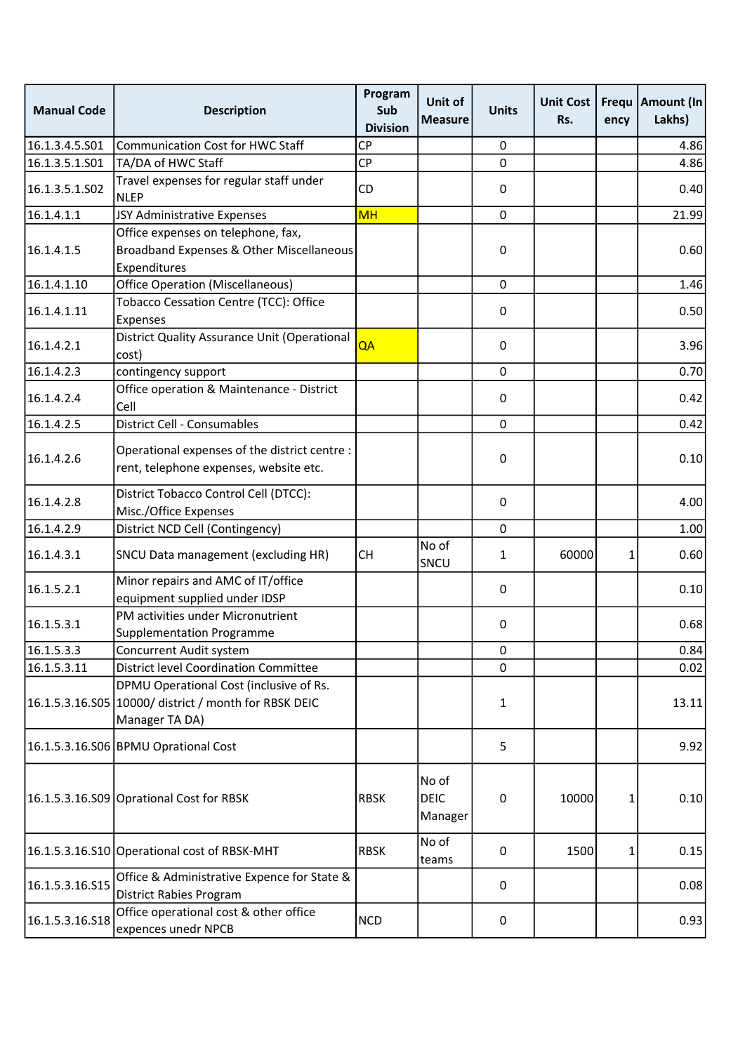| <b>Manual Code</b> | <b>Description</b>                                                                                                 | Program<br>Sub<br><b>Division</b> | Unit of<br><b>Measure</b>       | <b>Units</b> | <b>Unit Cost</b><br>Rs. | Frequ<br>ency | <b>Amount (In</b><br>Lakhs) |
|--------------------|--------------------------------------------------------------------------------------------------------------------|-----------------------------------|---------------------------------|--------------|-------------------------|---------------|-----------------------------|
| 16.1.3.4.5.S01     | <b>Communication Cost for HWC Staff</b>                                                                            | <b>CP</b>                         |                                 | 0            |                         |               | 4.86                        |
| 16.1.3.5.1.S01     | TA/DA of HWC Staff                                                                                                 | <b>CP</b>                         |                                 | $\mathbf 0$  |                         |               | 4.86                        |
| 16.1.3.5.1.S02     | Travel expenses for regular staff under<br><b>NLEP</b>                                                             | <b>CD</b>                         |                                 | $\pmb{0}$    |                         |               | 0.40                        |
| 16.1.4.1.1         | JSY Administrative Expenses                                                                                        | <b>MH</b>                         |                                 | $\mathbf 0$  |                         |               | 21.99                       |
| 16.1.4.1.5         | Office expenses on telephone, fax,<br>Broadband Expenses & Other Miscellaneous<br>Expenditures                     |                                   |                                 | 0            |                         |               | 0.60                        |
| 16.1.4.1.10        | <b>Office Operation (Miscellaneous)</b>                                                                            |                                   |                                 | $\mathbf{0}$ |                         |               | 1.46                        |
| 16.1.4.1.11        | Tobacco Cessation Centre (TCC): Office<br>Expenses                                                                 |                                   |                                 | 0            |                         |               | 0.50                        |
| 16.1.4.2.1         | District Quality Assurance Unit (Operational<br>cost)                                                              | QA                                |                                 | 0            |                         |               | 3.96                        |
| 16.1.4.2.3         | contingency support                                                                                                |                                   |                                 | $\mathbf 0$  |                         |               | 0.70                        |
| 16.1.4.2.4         | Office operation & Maintenance - District<br>Cell                                                                  |                                   |                                 | $\pmb{0}$    |                         |               | 0.42                        |
| 16.1.4.2.5         | District Cell - Consumables                                                                                        |                                   |                                 | $\mathbf 0$  |                         |               | 0.42                        |
| 16.1.4.2.6         | Operational expenses of the district centre :<br>rent, telephone expenses, website etc.                            |                                   |                                 | 0            |                         |               | 0.10                        |
| 16.1.4.2.8         | District Tobacco Control Cell (DTCC):<br>Misc./Office Expenses                                                     |                                   |                                 | 0            |                         |               | 4.00                        |
| 16.1.4.2.9         | District NCD Cell (Contingency)                                                                                    |                                   |                                 | 0            |                         |               | 1.00                        |
| 16.1.4.3.1         | SNCU Data management (excluding HR)                                                                                | <b>CH</b>                         | No of<br>SNCU                   | 1            | 60000                   | 1             | 0.60                        |
| 16.1.5.2.1         | Minor repairs and AMC of IT/office<br>equipment supplied under IDSP                                                |                                   |                                 | $\pmb{0}$    |                         |               | 0.10                        |
| 16.1.5.3.1         | PM activities under Micronutrient<br>Supplementation Programme                                                     |                                   |                                 | 0            |                         |               | 0.68                        |
| 16.1.5.3.3         | <b>Concurrent Audit system</b>                                                                                     |                                   |                                 | $\pmb{0}$    |                         |               | 0.84                        |
| 16.1.5.3.11        | <b>District level Coordination Committee</b>                                                                       |                                   |                                 | $\mathbf 0$  |                         |               | 0.02                        |
|                    | DPMU Operational Cost (inclusive of Rs.<br>16.1.5.3.16.S05 10000/ district / month for RBSK DEIC<br>Manager TA DA) |                                   |                                 | 1            |                         |               | 13.11                       |
|                    | 16.1.5.3.16.S06 BPMU Oprational Cost                                                                               |                                   |                                 | 5            |                         |               | 9.92                        |
|                    | 16.1.5.3.16.S09 Oprational Cost for RBSK                                                                           | <b>RBSK</b>                       | No of<br><b>DEIC</b><br>Manager | 0            | 10000                   | 1             | 0.10                        |
|                    | 16.1.5.3.16.S10 Operational cost of RBSK-MHT                                                                       | <b>RBSK</b>                       | No of<br>teams                  | 0            | 1500                    | 1             | 0.15                        |
| 16.1.5.3.16.S15    | Office & Administrative Expence for State &<br><b>District Rabies Program</b>                                      |                                   |                                 | 0            |                         |               | 0.08                        |
| 16.1.5.3.16.518    | Office operational cost & other office<br>expences unedr NPCB                                                      | <b>NCD</b>                        |                                 | $\pmb{0}$    |                         |               | 0.93                        |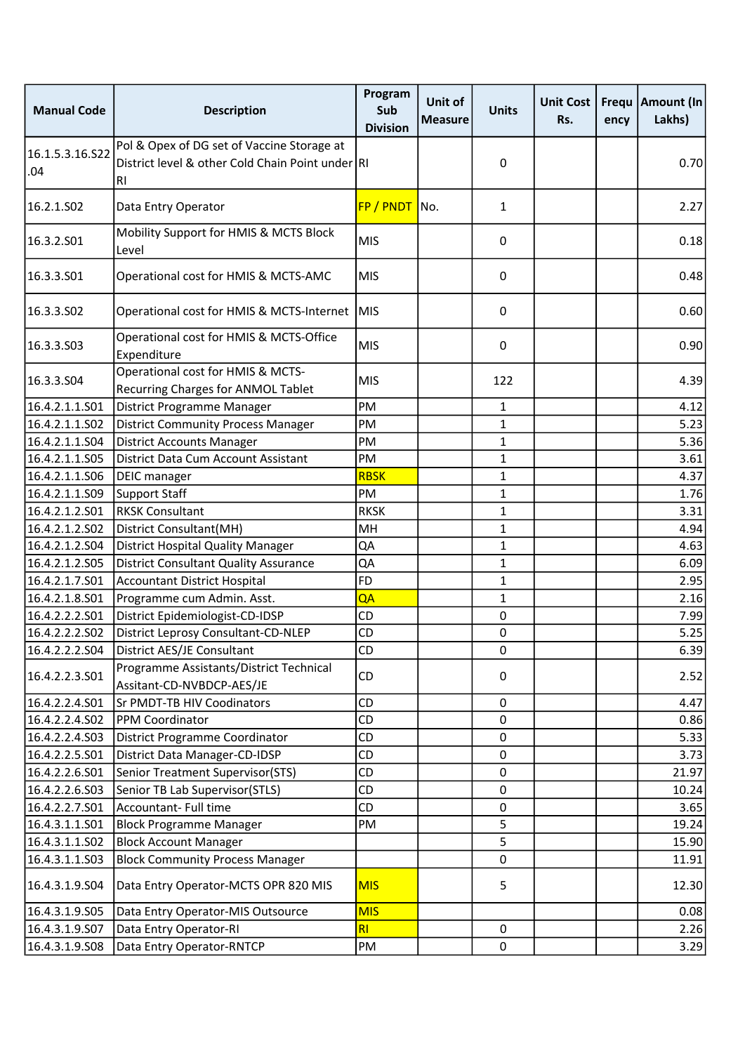| <b>Manual Code</b>     | <b>Description</b>                                                                                   | Program<br>Sub<br><b>Division</b> | Unit of<br><b>Measure</b> | <b>Units</b> | <b>Unit Cost</b><br>Rs. | ency | Frequ   Amount (In<br>Lakhs) |
|------------------------|------------------------------------------------------------------------------------------------------|-----------------------------------|---------------------------|--------------|-------------------------|------|------------------------------|
| 16.1.5.3.16.S22<br>.04 | Pol & Opex of DG set of Vaccine Storage at<br>District level & other Cold Chain Point under RI<br>RI |                                   |                           | 0            |                         |      | 0.70                         |
| 16.2.1.S02             | Data Entry Operator                                                                                  | FP / PNDT No.                     |                           | 1            |                         |      | 2.27                         |
| 16.3.2.S01             | Mobility Support for HMIS & MCTS Block<br>Level                                                      | <b>MIS</b>                        |                           | 0            |                         |      | 0.18                         |
| 16.3.3.501             | Operational cost for HMIS & MCTS-AMC                                                                 | <b>MIS</b>                        |                           | 0            |                         |      | 0.48                         |
| 16.3.3.502             | Operational cost for HMIS & MCTS-Internet                                                            | <b>MIS</b>                        |                           | 0            |                         |      | 0.60                         |
| 16.3.3.503             | Operational cost for HMIS & MCTS-Office<br>Expenditure                                               | <b>MIS</b>                        |                           | 0            |                         |      | 0.90                         |
| 16.3.3.504             | Operational cost for HMIS & MCTS-<br>Recurring Charges for ANMOL Tablet                              | <b>MIS</b>                        |                           | 122          |                         |      | 4.39                         |
| 16.4.2.1.1.S01         | District Programme Manager                                                                           | PM                                |                           | $\mathbf{1}$ |                         |      | 4.12                         |
| 16.4.2.1.1.S02         | <b>District Community Process Manager</b>                                                            | PM                                |                           | $\mathbf{1}$ |                         |      | 5.23                         |
| 16.4.2.1.1.S04         | <b>District Accounts Manager</b>                                                                     | PM                                |                           | 1            |                         |      | 5.36                         |
| 16.4.2.1.1.S05         | District Data Cum Account Assistant                                                                  | PM                                |                           | $\mathbf{1}$ |                         |      | 3.61                         |
| 16.4.2.1.1.S06         | DEIC manager                                                                                         | <b>RBSK</b>                       |                           | 1            |                         |      | 4.37                         |
| 16.4.2.1.1.S09         | Support Staff                                                                                        | PM                                |                           | 1            |                         |      | 1.76                         |
| 16.4.2.1.2.S01         | <b>RKSK Consultant</b>                                                                               | <b>RKSK</b>                       |                           | 1            |                         |      | 3.31                         |
| 16.4.2.1.2.S02         | District Consultant(MH)                                                                              | MH                                |                           | 1            |                         |      | 4.94                         |
| 16.4.2.1.2.S04         | <b>District Hospital Quality Manager</b>                                                             | QA                                |                           | 1            |                         |      | 4.63                         |
| 16.4.2.1.2.S05         | <b>District Consultant Quality Assurance</b>                                                         | QA                                |                           | 1            |                         |      | 6.09                         |
| 16.4.2.1.7.S01         | <b>Accountant District Hospital</b>                                                                  | <b>FD</b>                         |                           | 1            |                         |      | 2.95                         |
| 16.4.2.1.8.S01         | Programme cum Admin. Asst.                                                                           | QA                                |                           | $\mathbf{1}$ |                         |      | 2.16                         |
| 16.4.2.2.2.S01         | District Epidemiologist-CD-IDSP                                                                      | CD                                |                           | $\mathbf 0$  |                         |      | 7.99                         |
| 16.4.2.2.2.S02         | District Leprosy Consultant-CD-NLEP                                                                  | CD                                |                           | 0            |                         |      | 5.25                         |
| 16.4.2.2.2.S04         | District AES/JE Consultant                                                                           | <b>CD</b>                         |                           | 0            |                         |      | 6.39                         |
| 16.4.2.2.3.501         | Programme Assistants/District Technical<br>Assitant-CD-NVBDCP-AES/JE                                 | CD                                |                           | 0            |                         |      | 2.52                         |
| 16.4.2.2.4.S01         | Sr PMDT-TB HIV Coodinators                                                                           | CD                                |                           | 0            |                         |      | 4.47                         |
| 16.4.2.2.4.S02         | PPM Coordinator                                                                                      | CD                                |                           | 0            |                         |      | 0.86                         |
| 16.4.2.2.4.S03         | District Programme Coordinator                                                                       | CD                                |                           | 0            |                         |      | 5.33                         |
| 16.4.2.2.5.S01         | District Data Manager-CD-IDSP                                                                        | CD                                |                           | 0            |                         |      | 3.73                         |
| 16.4.2.2.6.S01         | Senior Treatment Supervisor(STS)                                                                     | CD                                |                           | 0            |                         |      | 21.97                        |
| 16.4.2.2.6.S03         | Senior TB Lab Supervisor(STLS)                                                                       | CD                                |                           | 0            |                         |      | 10.24                        |
| 16.4.2.2.7.S01         | Accountant- Full time                                                                                | CD                                |                           | 0            |                         |      | 3.65                         |
| 16.4.3.1.1.S01         | <b>Block Programme Manager</b>                                                                       | PM                                |                           | 5            |                         |      | 19.24                        |
| 16.4.3.1.1.S02         | <b>Block Account Manager</b>                                                                         |                                   |                           | 5            |                         |      | 15.90                        |
| 16.4.3.1.1.S03         | <b>Block Community Process Manager</b>                                                               |                                   |                           | 0            |                         |      | 11.91                        |
| 16.4.3.1.9.504         | Data Entry Operator-MCTS OPR 820 MIS                                                                 | <b>MIS</b>                        |                           | 5            |                         |      | 12.30                        |
| 16.4.3.1.9.S05         | Data Entry Operator-MIS Outsource                                                                    | <b>MIS</b>                        |                           |              |                         |      | 0.08                         |
| 16.4.3.1.9.S07         | Data Entry Operator-RI                                                                               | RI                                |                           | 0            |                         |      | 2.26                         |
| 16.4.3.1.9.508         | Data Entry Operator-RNTCP                                                                            | PM                                |                           | $\pmb{0}$    |                         |      | 3.29                         |